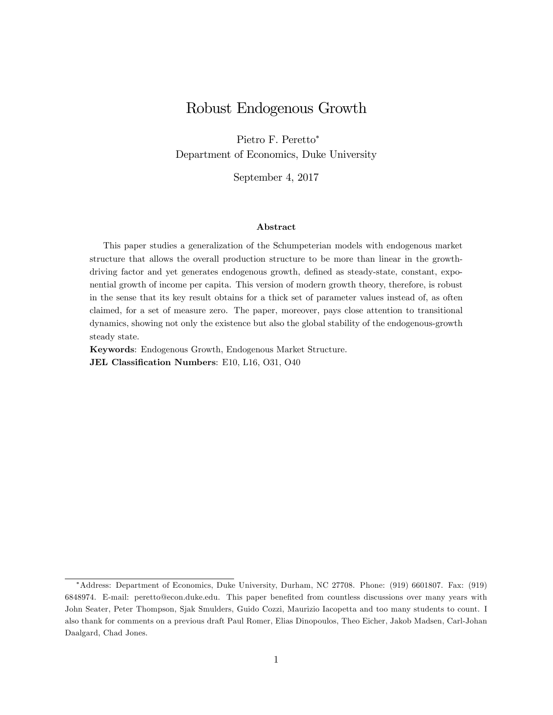# Robust Endogenous Growth

Pietro F. Peretto<sup>∗</sup> Department of Economics, Duke University

September 4, 2017

#### Abstract

This paper studies a generalization of the Schumpeterian models with endogenous market structure that allows the overall production structure to be more than linear in the growthdriving factor and yet generates endogenous growth, defined as steady-state, constant, exponential growth of income per capita. This version of modern growth theory, therefore, is robust in the sense that its key result obtains for a thick set of parameter values instead of, as often claimed, for a set of measure zero. The paper, moreover, pays close attention to transitional dynamics, showing not only the existence but also the global stability of the endogenous-growth steady state.

Keywords: Endogenous Growth, Endogenous Market Structure. JEL Classification Numbers: E10, L16, O31, O40

<sup>∗</sup>Address: Department of Economics, Duke University, Durham, NC 27708. Phone: (919) 6601807. Fax: (919) 6848974. E-mail: peretto@econ.duke.edu. This paper benefited from countless discussions over many years with John Seater, Peter Thompson, Sjak Smulders, Guido Cozzi, Maurizio Iacopetta and too many students to count. I also thank for comments on a previous draft Paul Romer, Elias Dinopoulos, Theo Eicher, Jakob Madsen, Carl-Johan Daalgard, Chad Jones.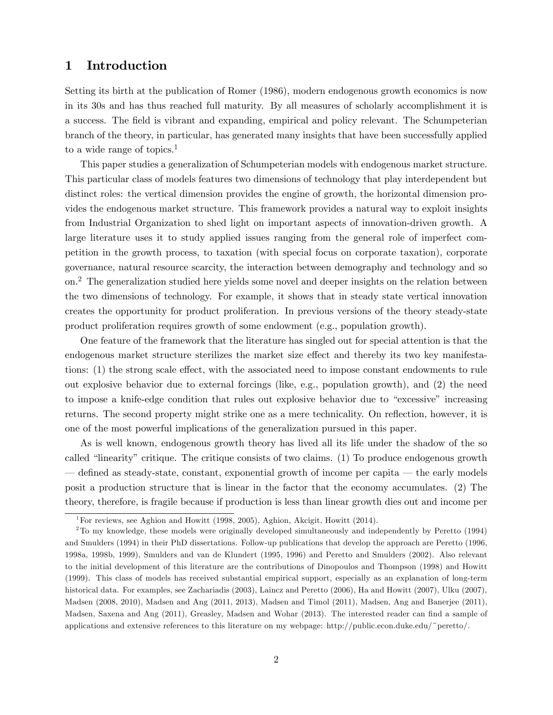## 1 Introduction

Setting its birth at the publication of Romer (1986), modern endogenous growth economics is now in its 30s and has thus reached full maturity. By all measures of scholarly accomplishment it is a success. The field is vibrant and expanding, empirical and policy relevant. The Schumpeterian branch of the theory, in particular, has generated many insights that have been successfully applied to a wide range of topics.<sup>1</sup>

This paper studies a generalization of Schumpeterian models with endogenous market structure. This particular class of models features two dimensions of technology that play interdependent but distinct roles: the vertical dimension provides the engine of growth, the horizontal dimension provides the endogenous market structure. This framework provides a natural way to exploit insights from Industrial Organization to shed light on important aspects of innovation-driven growth. A large literature uses it to study applied issues ranging from the general role of imperfect competition in the growth process, to taxation (with special focus on corporate taxation), corporate governance, natural resource scarcity, the interaction between demography and technology and so on.2 The generalization studied here yields some novel and deeper insights on the relation between the two dimensions of technology. For example, it shows that in steady state vertical innovation creates the opportunity for product proliferation. In previous versions of the theory steady-state product proliferation requires growth of some endowment (e.g., population growth).

One feature of the framework that the literature has singled out for special attention is that the endogenous market structure sterilizes the market size effect and thereby its two key manifestations: (1) the strong scale effect, with the associated need to impose constant endowments to rule out explosive behavior due to external forcings (like, e.g., population growth), and (2) the need to impose a knife-edge condition that rules out explosive behavior due to "excessive" increasing returns. The second property might strike one as a mere technicality. On reflection, however, it is one of the most powerful implications of the generalization pursued in this paper.

As is well known, endogenous growth theory has lived all its life under the shadow of the so called "linearity" critique. The critique consists of two claims. (1) To produce endogenous growth – defined as steady-state, constant, exponential growth of income per capita – the early models posit a production structure that is linear in the factor that the economy accumulates. (2) The theory, therefore, is fragile because if production is less than linear growth dies out and income per

<sup>&</sup>lt;sup>1</sup>For reviews, see Aghion and Howitt (1998, 2005), Aghion, Akcigit, Howitt (2014).

<sup>2</sup>To my knowledge, these models were originally developed simultaneously and independently by Peretto (1994) and Smulders (1994) in their PhD dissertations. Follow-up publications that develop the approach are Peretto (1996, 1998a, 1998b, 1999), Smulders and van de Klundert (1995, 1996) and Peretto and Smulders (2002). Also relevant to the initial development of this literature are the contributions of Dinopoulos and Thompson (1998) and Howitt (1999). This class of models has received substantial empirical support, especially as an explanation of long-term historical data. For examples, see Zachariadis (2003), Laincz and Peretto (2006), Ha and Howitt (2007), Ulku (2007), Madsen (2008, 2010), Madsen and Ang (2011, 2013), Madsen and Timol (2011), Madsen, Ang and Banerjee (2011), Madsen, Saxena and Ang (2011), Greasley, Madsen and Wohar (2013). The interested reader can find a sample of applications and extensive references to this literature on my webpage: http://public.econ.duke.edu/~peretto/.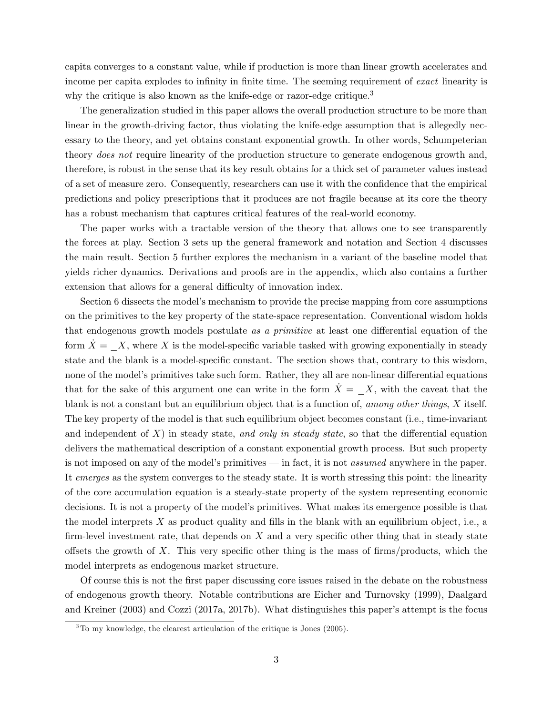capita converges to a constant value, while if production is more than linear growth accelerates and income per capita explodes to infinity in finite time. The seeming requirement of *exact* linearity is why the critique is also known as the knife-edge or razor-edge critique.<sup>3</sup>

The generalization studied in this paper allows the overall production structure to be more than linear in the growth-driving factor, thus violating the knife-edge assumption that is allegedly necessary to the theory, and yet obtains constant exponential growth. In other words, Schumpeterian theory *does not* require linearity of the production structure to generate endogenous growth and, therefore, is robust in the sense that its key result obtains for a thick set of parameter values instead of a set of measure zero. Consequently, researchers can use it with the confidence that the empirical predictions and policy prescriptions that it produces are not fragile because at its core the theory has a robust mechanism that captures critical features of the real-world economy.

The paper works with a tractable version of the theory that allows one to see transparently the forces at play. Section 3 sets up the general framework and notation and Section 4 discusses the main result. Section 5 further explores the mechanism in a variant of the baseline model that yields richer dynamics. Derivations and proofs are in the appendix, which also contains a further extension that allows for a general difficulty of innovation index.

Section 6 dissects the model's mechanism to provide the precise mapping from core assumptions on the primitives to the key property of the state-space representation. Conventional wisdom holds that endogenous growth models postulate *as a primitive* at least one differential equation of the form  $X = X$ , where X is the model-specific variable tasked with growing exponentially in steady state and the blank is a model-specific constant. The section shows that, contrary to this wisdom, none of the model's primitives take such form. Rather, they all are non-linear differential equations that for the sake of this argument one can write in the form  $\dot{X} = X$ , with the caveat that the blank is not a constant but an equilibrium object that is a function of, *among other things*, *X* itself. The key property of the model is that such equilibrium object becomes constant (i.e., time-invariant and independent of  $X$ ) in steady state, *and only in steady state*, so that the differential equation delivers the mathematical description of a constant exponential growth process. But such property is not imposed on any of the model's primitives – in fact, it is not *assumed* anywhere in the paper. It *emerges* as the system converges to the steady state. It is worth stressing this point: the linearity of the core accumulation equation is a steady-state property of the system representing economic decisions. It is not a property of the model's primitives. What makes its emergence possible is that the model interprets *X* as product quality and fills in the blank with an equilibrium object, i.e., a firm-level investment rate, that depends on *X* and a very specific other thing that in steady state offsets the growth of  $X$ . This very specific other thing is the mass of firms/products, which the model interprets as endogenous market structure.

Of course this is not the first paper discussing core issues raised in the debate on the robustness of endogenous growth theory. Notable contributions are Eicher and Turnovsky (1999), Daalgard and Kreiner (2003) and Cozzi (2017a, 2017b). What distinguishes this paper's attempt is the focus

 $3$ To my knowledge, the clearest articulation of the critique is Jones (2005).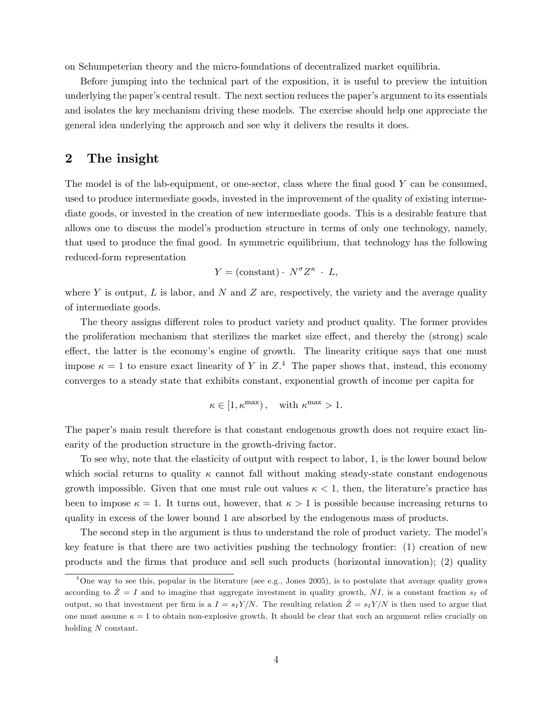on Schumpeterian theory and the micro-foundations of decentralized market equilibria.

Before jumping into the technical part of the exposition, it is useful to preview the intuition underlying the paper's central result. The next section reduces the paper's argument to its essentials and isolates the key mechanism driving these models. The exercise should help one appreciate the general idea underlying the approach and see why it delivers the results it does.

## 2 The insight

The model is of the lab-equipment, or one-sector, class where the final good *Y* can be consumed, used to produce intermediate goods, invested in the improvement of the quality of existing intermediate goods, or invested in the creation of new intermediate goods. This is a desirable feature that allows one to discuss the model's production structure in terms of only one technology, namely, that used to produce the final good. In symmetric equilibrium, that technology has the following reduced-form representation

$$
Y = ( \text{constant} ) \cdot \ N^{\sigma} Z^{\kappa} \, \cdot \, L,
$$

where  $Y$  is output,  $L$  is labor, and  $N$  and  $Z$  are, respectively, the variety and the average quality of intermediate goods.

The theory assigns different roles to product variety and product quality. The former provides the proliferation mechanism that sterilizes the market size effect, and thereby the (strong) scale effect, the latter is the economy's engine of growth. The linearity critique says that one must impose  $\kappa = 1$  to ensure exact linearity of *Y* in  $Z^4$ . The paper shows that, instead, this economy converges to a steady state that exhibits constant, exponential growth of income per capita for

$$
\kappa \in [1, \kappa^{\max}), \quad \text{with } \kappa^{\max} > 1.
$$

The paper's main result therefore is that constant endogenous growth does not require exact linearity of the production structure in the growth-driving factor.

To see why, note that the elasticity of output with respect to labor, 1, is the lower bound below which social returns to quality  $\kappa$  cannot fall without making steady-state constant endogenous growth impossible. Given that one must rule out values  $\kappa < 1$ , then, the literature's practice has been to impose  $\kappa = 1$ . It turns out, however, that  $\kappa > 1$  is possible because increasing returns to quality in excess of the lower bound 1 are absorbed by the endogenous mass of products.

The second step in the argument is thus to understand the role of product variety. The model's key feature is that there are two activities pushing the technology frontier: (1) creation of new products and the firms that produce and sell such products (horizontal innovation); (2) quality

 $^{4}$ One way to see this, popular in the literature (see e.g., Jones 2005), is to postulate that average quality grows according to  $\dot{Z} = I$  and to imagine that aggregate investment in quality growth, NI, is a constant fraction  $s_I$  of output, so that investment per firm is a  $I = s_I Y/N$ . The resulting relation  $\dot{Z} = s_I Y/N$  is then used to argue that one must assume  $\kappa = 1$  to obtain non-explosive growth. It should be clear that such an argument relies crucially on holding *N* constant.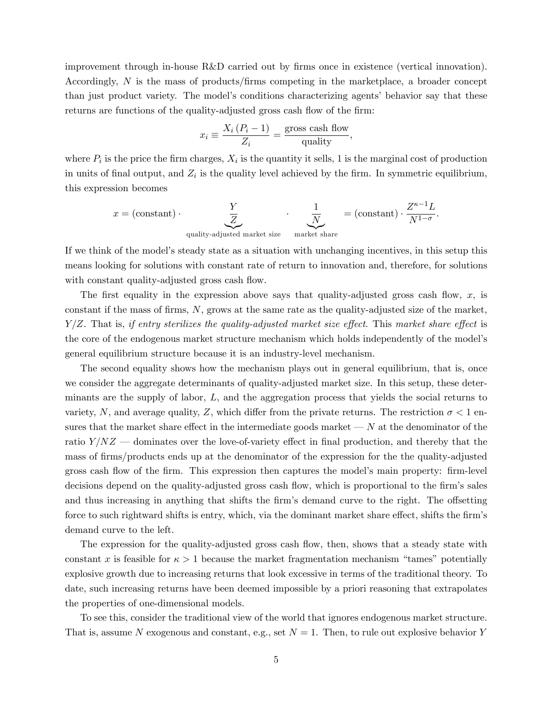improvement through in-house R&D carried out by firms once in existence (vertical innovation). Accordingly, *N* is the mass of products/firms competing in the marketplace, a broader concept than just product variety. The model's conditions characterizing agents' behavior say that these returns are functions of the quality-adjusted gross cash flow of the firm:

$$
x_i \equiv \frac{X_i (P_i - 1)}{Z_i} = \frac{\text{gross cash flow}}{\text{quality}},
$$

where  $P_i$  is the price the firm charges,  $X_i$  is the quantity it sells, 1 is the marginal cost of production in units of final output, and  $Z_i$  is the quality level achieved by the firm. In symmetric equilibrium, this expression becomes

$$
x = (\text{constant}) \cdot \underbrace{\frac{Y}{Z}}_{\text{quality-adjusted market size}} \cdot \underbrace{\frac{1}{N}}_{\text{market share}} = (\text{constant}) \cdot \frac{Z^{\kappa - 1}L}{N^{1 - \sigma}}.
$$

If we think of the model's steady state as a situation with unchanging incentives, in this setup this means looking for solutions with constant rate of return to innovation and, therefore, for solutions with constant quality-adjusted gross cash flow.

The first equality in the expression above says that quality-adjusted gross cash flow, *x*, is constant if the mass of firms, *N*, grows at the same rate as the quality-adjusted size of the market, *Y*/*Z*. That is, *if entry sterilizes the quality-adjusted market size effect*. This *market share effect* is the core of the endogenous market structure mechanism which holds independently of the model's general equilibrium structure because it is an industry-level mechanism.

The second equality shows how the mechanism plays out in general equilibrium, that is, once we consider the aggregate determinants of quality-adjusted market size. In this setup, these determinants are the supply of labor, *L*, and the aggregation process that yields the social returns to variety, N, and average quality, Z, which differ from the private returns. The restriction  $\sigma < 1$  ensures that the market share effect in the intermediate goods market  $\sim N$  at the denominator of the ratio  $Y/NZ$  – dominates over the love-of-variety effect in final production, and thereby that the mass of firms/products ends up at the denominator of the expression for the the quality-adjusted gross cash flow of the firm. This expression then captures the model's main property: firm-level decisions depend on the quality-adjusted gross cash flow, which is proportional to the firm's sales and thus increasing in anything that shifts the firm's demand curve to the right. The offsetting force to such rightward shifts is entry, which, via the dominant market share effect, shifts the firm's demand curve to the left.

The expression for the quality-adjusted gross cash flow, then, shows that a steady state with constant *x* is feasible for  $\kappa > 1$  because the market fragmentation mechanism "tames" potentially explosive growth due to increasing returns that look excessive in terms of the traditional theory. To date, such increasing returns have been deemed impossible by a priori reasoning that extrapolates the properties of one-dimensional models.

To see this, consider the traditional view of the world that ignores endogenous market structure. That is, assume *N* exogenous and constant, e.g., set *N* = 1. Then, to rule out explosive behavior *Y*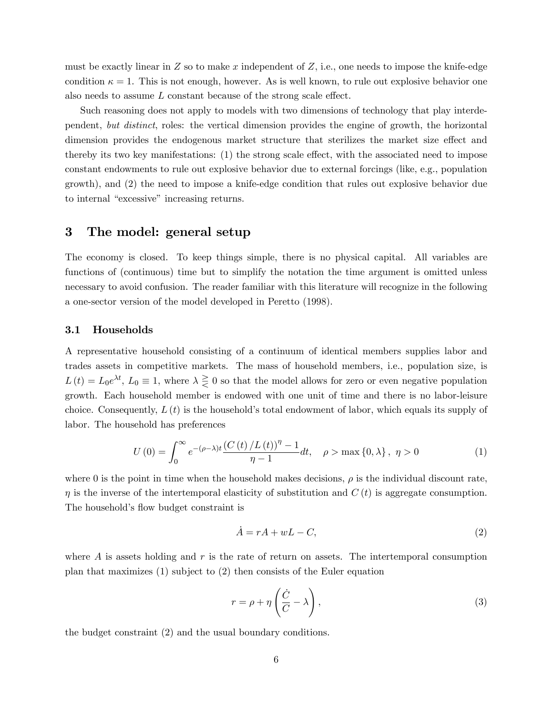must be exactly linear in  $Z$  so to make  $x$  independent of  $Z$ , i.e., one needs to impose the knife-edge condition  $\kappa = 1$ . This is not enough, however. As is well known, to rule out explosive behavior one also needs to assume  $L$  constant because of the strong scale effect.

Such reasoning does not apply to models with two dimensions of technology that play interdependent, *but distinct*, roles: the vertical dimension provides the engine of growth, the horizontal dimension provides the endogenous market structure that sterilizes the market size effect and thereby its two key manifestations:  $(1)$  the strong scale effect, with the associated need to impose constant endowments to rule out explosive behavior due to external forcings (like, e.g., population growth), and (2) the need to impose a knife-edge condition that rules out explosive behavior due to internal "excessive" increasing returns.

## 3 The model: general setup

The economy is closed. To keep things simple, there is no physical capital. All variables are functions of (continuous) time but to simplify the notation the time argument is omitted unless necessary to avoid confusion. The reader familiar with this literature will recognize in the following a one-sector version of the model developed in Peretto (1998).

### 3.1 Households

A representative household consisting of a continuum of identical members supplies labor and trades assets in competitive markets. The mass of household members, i.e., population size, is  $L(t) = L_0 e^{\lambda t}$ ,  $L_0 \equiv 1$ , where  $\lambda \geq 0$  so that the model allows for zero or even negative population growth. Each household member is endowed with one unit of time and there is no labor-leisure choice. Consequently, *L*(*t*) is the household's total endowment of labor, which equals its supply of labor. The household has preferences

$$
U(0) = \int_0^\infty e^{-(\rho - \lambda)t} \frac{(C(t)/L(t))^\eta - 1}{\eta - 1} dt, \quad \rho > \max\{0, \lambda\}, \ \eta > 0
$$
 (1)

where 0 is the point in time when the household makes decisions,  $\rho$  is the individual discount rate,  $\eta$  is the inverse of the intertemporal elasticity of substitution and  $C(t)$  is aggregate consumption. The household's flow budget constraint is

$$
\dot{A} = rA + wL - C,\tag{2}
$$

where *A* is assets holding and *r* is the rate of return on assets. The intertemporal consumption plan that maximizes (1) subject to (2) then consists of the Euler equation

$$
r = \rho + \eta \left(\frac{\dot{C}}{C} - \lambda\right),\tag{3}
$$

the budget constraint (2) and the usual boundary conditions.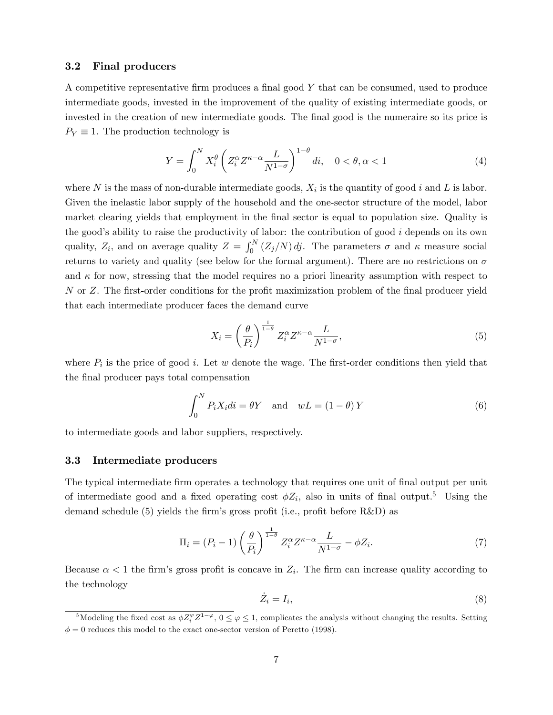#### 3.2 Final producers

A competitive representative firm produces a final good *Y* that can be consumed, used to produce intermediate goods, invested in the improvement of the quality of existing intermediate goods, or invested in the creation of new intermediate goods. The final good is the numeraire so its price is  $P_Y \equiv 1$ . The production technology is

$$
Y = \int_0^N X_i^{\theta} \left( Z_i^{\alpha} Z^{\kappa - \alpha} \frac{L}{N^{1-\sigma}} \right)^{1-\theta} di, \quad 0 < \theta, \alpha < 1
$$
 (4)

where  $N$  is the mass of non-durable intermediate goods,  $X_i$  is the quantity of good  $i$  and  $L$  is labor. Given the inelastic labor supply of the household and the one-sector structure of the model, labor market clearing yields that employment in the final sector is equal to population size. Quality is the good's ability to raise the productivity of labor: the contribution of good *i* depends on its own quality,  $Z_i$ , and on average quality  $Z = \int_0^N (Z_j/N) \, dj$ . The parameters  $\sigma$  and  $\kappa$  measure social returns to variety and quality (see below for the formal argument). There are no restrictions on  $\sigma$ and  $\kappa$  for now, stressing that the model requires no a priori linearity assumption with respect to *N* or *Z*. The first-order conditions for the profit maximization problem of the final producer yield that each intermediate producer faces the demand curve

$$
X_i = \left(\frac{\theta}{P_i}\right)^{\frac{1}{1-\theta}} Z_i^{\alpha} Z^{\kappa-\alpha} \frac{L}{N^{1-\sigma}},\tag{5}
$$

where  $P_i$  is the price of good *i*. Let *w* denote the wage. The first-order conditions then yield that the final producer pays total compensation

$$
\int_0^N P_i X_i di = \theta Y \quad \text{and} \quad wL = (1 - \theta) Y \tag{6}
$$

to intermediate goods and labor suppliers, respectively.

## 3.3 Intermediate producers

The typical intermediate firm operates a technology that requires one unit of final output per unit of intermediate good and a fixed operating cost  $\phi Z_i$ , also in units of final output.<sup>5</sup> Using the demand schedule  $(5)$  yields the firm's gross profit (i.e., profit before R&D) as

$$
\Pi_i = (P_i - 1) \left(\frac{\theta}{P_i}\right)^{\frac{1}{1-\theta}} Z_i^{\alpha} Z^{\kappa - \alpha} \frac{L}{N^{1-\sigma}} - \phi Z_i.
$$
\n<sup>(7)</sup>

Because  $\alpha < 1$  the firm's gross profit is concave in  $Z_i$ . The firm can increase quality according to the technology

$$
\dot{Z}_i = I_i,\tag{8}
$$

<sup>&</sup>lt;sup>5</sup>Modeling the fixed cost as  $\phi Z_i^{\varphi} Z^{1-\varphi}$ ,  $0 \le \varphi \le 1$ , complicates the analysis without changing the results. Setting  $\phi = 0$  reduces this model to the exact one-sector version of Peretto (1998).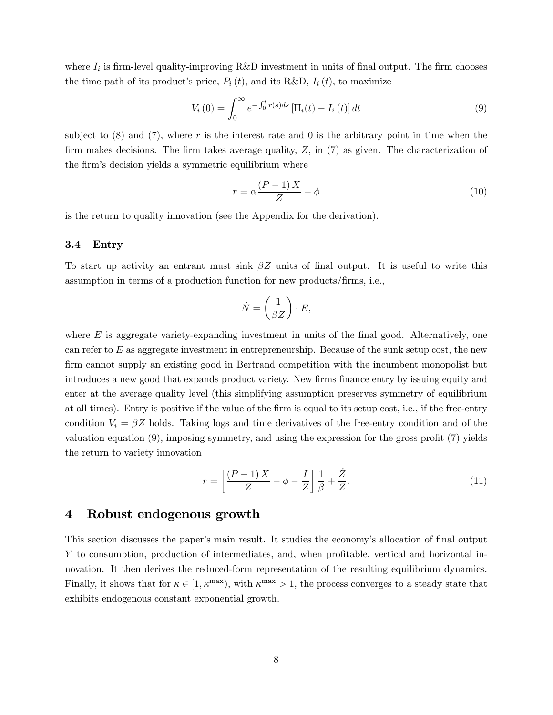where  $I_i$  is firm-level quality-improving R&D investment in units of final output. The firm chooses the time path of its product's price,  $P_i(t)$ , and its R&D,  $I_i(t)$ , to maximize

$$
V_i(0) = \int_0^\infty e^{-\int_0^t r(s)ds} \left[\Pi_i(t) - I_i(t)\right] dt
$$
\n(9)

subject to  $(8)$  and  $(7)$ , where r is the interest rate and 0 is the arbitrary point in time when the firm makes decisions. The firm takes average quality, *Z*, in (7) as given. The characterization of the firm's decision yields a symmetric equilibrium where

$$
r = \alpha \frac{(P-1)X}{Z} - \phi \tag{10}
$$

is the return to quality innovation (see the Appendix for the derivation).

### 3.4 Entry

To start up activity an entrant must sink β*Z* units of final output. It is useful to write this assumption in terms of a production function for new products/firms, i.e.,

$$
\dot{N} = \left(\frac{1}{\beta Z}\right) \cdot E,
$$

where *E* is aggregate variety-expanding investment in units of the final good. Alternatively, one can refer to *E* as aggregate investment in entrepreneurship. Because of the sunk setup cost, the new firm cannot supply an existing good in Bertrand competition with the incumbent monopolist but introduces a new good that expands product variety. New firms finance entry by issuing equity and enter at the average quality level (this simplifying assumption preserves symmetry of equilibrium at all times). Entry is positive if the value of the firm is equal to its setup cost, i.e., if the free-entry condition  $V_i = \beta Z$  holds. Taking logs and time derivatives of the free-entry condition and of the valuation equation (9), imposing symmetry, and using the expression for the gross profit (7) yields the return to variety innovation

$$
r = \left[\frac{(P-1)X}{Z} - \phi - \frac{I}{Z}\right]\frac{1}{\beta} + \frac{Z}{Z}.\tag{11}
$$

## 4 Robust endogenous growth

This section discusses the paper's main result. It studies the economy's allocation of final output *Y* to consumption, production of intermediates, and, when profitable, vertical and horizontal innovation. It then derives the reduced-form representation of the resulting equilibrium dynamics. Finally, it shows that for  $\kappa \in [1, \kappa^{\max})$ , with  $\kappa^{\max} > 1$ , the process converges to a steady state that exhibits endogenous constant exponential growth.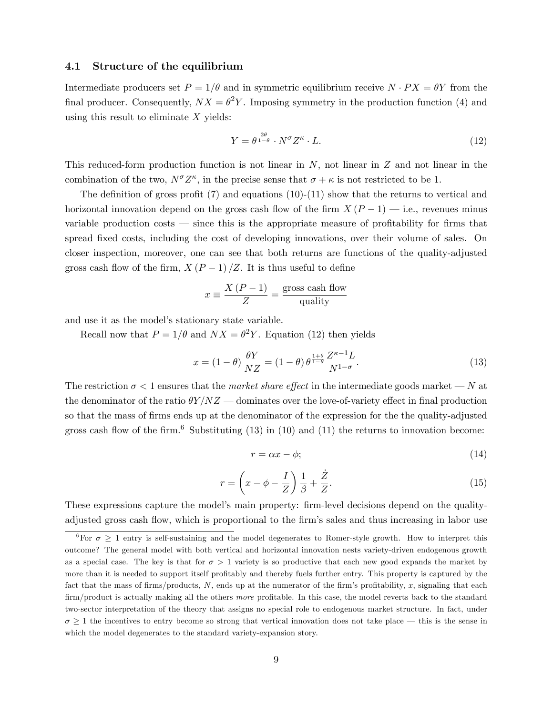#### 4.1 Structure of the equilibrium

Intermediate producers set  $P = 1/\theta$  and in symmetric equilibrium receive  $N \cdot PX = \theta Y$  from the final producer. Consequently,  $NX = \theta^2 Y$ . Imposing symmetry in the production function (4) and using this result to eliminate *X* yields:

$$
Y = \theta^{\frac{2\theta}{1-\theta}} \cdot N^{\sigma} Z^{\kappa} \cdot L. \tag{12}
$$

This reduced-form production function is not linear in *N*, not linear in *Z* and not linear in the combination of the two,  $N^{\sigma}Z^{\kappa}$ , in the precise sense that  $\sigma + \kappa$  is not restricted to be 1.

The definition of gross profit  $(7)$  and equations  $(10)-(11)$  show that the returns to vertical and horizontal innovation depend on the gross cash flow of the firm  $X(P-1)$  – i.e., revenues minus variable production costs – since this is the appropriate measure of profitability for firms that spread fixed costs, including the cost of developing innovations, over their volume of sales. On closer inspection, moreover, one can see that both returns are functions of the quality-adjusted gross cash flow of the firm,  $X(P-1)/Z$ . It is thus useful to define

$$
x \equiv \frac{X(P-1)}{Z} = \frac{\text{gross cash flow}}{\text{quality}}
$$

and use it as the model's stationary state variable.

Recall now that  $P = 1/\theta$  and  $NX = \theta^2 Y$ . Equation (12) then yields

$$
x = (1 - \theta) \frac{\theta Y}{NZ} = (1 - \theta) \theta^{\frac{1 + \theta}{1 - \theta}} \frac{Z^{\kappa - 1} L}{N^{1 - \sigma}}.
$$
\n(13)

The restriction  $\sigma < 1$  ensures that the *market share effect* in the intermediate goods market – *N* at the denominator of the ratio  $\theta Y/NZ$  – dominates over the love-of-variety effect in final production so that the mass of firms ends up at the denominator of the expression for the the quality-adjusted gross cash flow of the firm.<sup>6</sup> Substituting  $(13)$  in  $(10)$  and  $(11)$  the returns to innovation become:

$$
r = \alpha x - \phi; \tag{14}
$$

$$
r = \left(x - \phi - \frac{I}{Z}\right)\frac{1}{\beta} + \frac{\dot{Z}}{Z}.\tag{15}
$$

These expressions capture the model's main property: firm-level decisions depend on the qualityadjusted gross cash flow, which is proportional to the firm's sales and thus increasing in labor use

<sup>&</sup>lt;sup>6</sup>For  $\sigma \geq 1$  entry is self-sustaining and the model degenerates to Romer-style growth. How to interpret this outcome? The general model with both vertical and horizontal innovation nests variety-driven endogenous growth as a special case. The key is that for  $\sigma > 1$  variety is so productive that each new good expands the market by more than it is needed to support itself profitably and thereby fuels further entry. This property is captured by the fact that the mass of firms/products, *N*, ends up at the numerator of the firm's profitability, *x*, signaling that each firm/product is actually making all the others *more* profitable. In this case, the model reverts back to the standard two-sector interpretation of the theory that assigns no special role to endogenous market structure. In fact, under  $\sigma \geq 1$  the incentives to entry become so strong that vertical innovation does not take place – this is the sense in which the model degenerates to the standard variety-expansion story.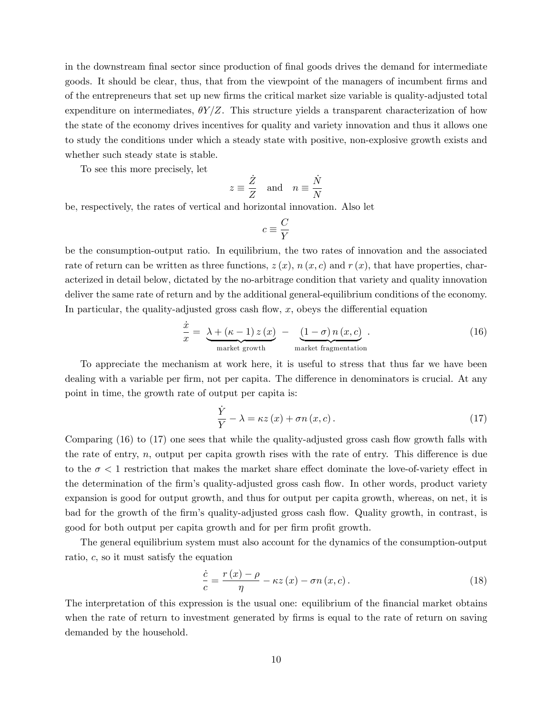in the downstream final sector since production of final goods drives the demand for intermediate goods. It should be clear, thus, that from the viewpoint of the managers of incumbent firms and of the entrepreneurs that set up new firms the critical market size variable is quality-adjusted total expenditure on intermediates,  $\theta Y/Z$ . This structure yields a transparent characterization of how the state of the economy drives incentives for quality and variety innovation and thus it allows one to study the conditions under which a steady state with positive, non-explosive growth exists and whether such steady state is stable.

To see this more precisely, let

$$
z \equiv \frac{\dot{Z}}{Z}
$$
 and  $n \equiv \frac{\dot{N}}{N}$ 

be, respectively, the rates of vertical and horizontal innovation. Also let

$$
c\equiv \frac{C}{Y}
$$

be the consumption-output ratio. In equilibrium, the two rates of innovation and the associated rate of return can be written as three functions,  $z(x)$ ,  $n(x, c)$  and  $r(x)$ , that have properties, characterized in detail below, dictated by the no-arbitrage condition that variety and quality innovation deliver the same rate of return and by the additional general-equilibrium conditions of the economy. In particular, the quality-adjusted gross cash flow,  $x$ , obeys the differential equation

$$
\frac{\dot{x}}{x} = \underbrace{\lambda + (\kappa - 1) z(x)}_{\text{market growth}} - \underbrace{(1 - \sigma) n(x, c)}_{\text{market fragmentation}}.
$$
\n(16)

To appreciate the mechanism at work here, it is useful to stress that thus far we have been dealing with a variable per firm, not per capita. The difference in denominators is crucial. At any point in time, the growth rate of output per capita is:

$$
\frac{\dot{Y}}{Y} - \lambda = \kappa z(x) + \sigma n(x, c). \tag{17}
$$

Comparing (16) to (17) one sees that while the quality-adjusted gross cash flow growth falls with the rate of entry,  $n$ , output per capita growth rises with the rate of entry. This difference is due to the  $\sigma < 1$  restriction that makes the market share effect dominate the love-of-variety effect in the determination of the firm's quality-adjusted gross cash flow. In other words, product variety expansion is good for output growth, and thus for output per capita growth, whereas, on net, it is bad for the growth of the firm's quality-adjusted gross cash flow. Quality growth, in contrast, is good for both output per capita growth and for per firm profit growth.

The general equilibrium system must also account for the dynamics of the consumption-output ratio, *c*, so it must satisfy the equation

$$
\frac{\dot{c}}{c} = \frac{r(x) - \rho}{\eta} - \kappa z(x) - \sigma n(x, c). \tag{18}
$$

The interpretation of this expression is the usual one: equilibrium of the financial market obtains when the rate of return to investment generated by firms is equal to the rate of return on saving demanded by the household.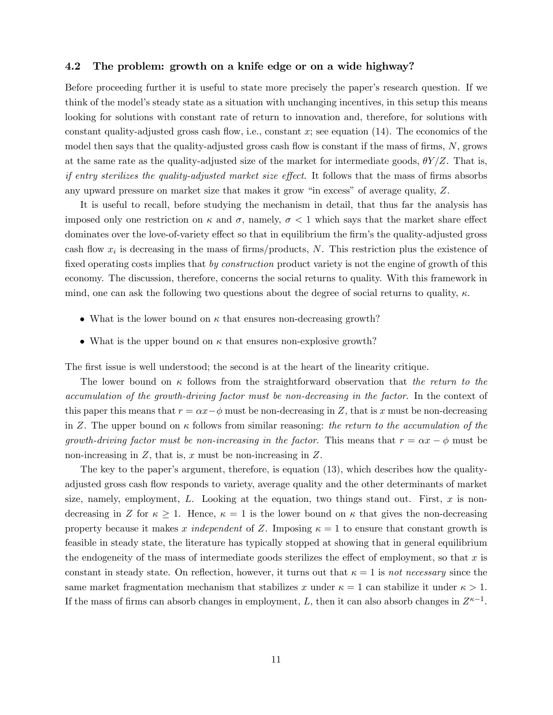#### 4.2 The problem: growth on a knife edge or on a wide highway?

Before proceeding further it is useful to state more precisely the paper's research question. If we think of the model's steady state as a situation with unchanging incentives, in this setup this means looking for solutions with constant rate of return to innovation and, therefore, for solutions with constant quality-adjusted gross cash flow, i.e., constant *x*; see equation (14). The economics of the model then says that the quality-adjusted gross cash flow is constant if the mass of firms, *N*, grows at the same rate as the quality-adjusted size of the market for intermediate goods,  $\theta Y/Z$ . That is, *if entry sterilizes the quality-adjusted market size effect*. It follows that the mass of firms absorbs any upward pressure on market size that makes it grow "in excess" of average quality, *Z*.

It is useful to recall, before studying the mechanism in detail, that thus far the analysis has imposed only one restriction on  $\kappa$  and  $\sigma$ , namely,  $\sigma < 1$  which says that the market share effect dominates over the love-of-variety effect so that in equilibrium the firm's the quality-adjusted gross cash flow *x<sup>i</sup>* is decreasing in the mass of firms/products, *N*. This restriction plus the existence of fixed operating costs implies that *by construction* product variety is not the engine of growth of this economy. The discussion, therefore, concerns the social returns to quality. With this framework in mind, one can ask the following two questions about the degree of social returns to quality,  $\kappa$ .

- What is the lower bound on  $\kappa$  that ensures non-decreasing growth?
- What is the upper bound on  $\kappa$  that ensures non-explosive growth?

The first issue is well understood; the second is at the heart of the linearity critique.

The lower bound on κ follows from the straightforward observation that *the return to the accumulation of the growth-driving factor must be non-decreasing in the factor*. In the context of this paper this means that  $r = \alpha x - \phi$  must be non-decreasing in *Z*, that is *x* must be non-decreasing in *Z*. The upper bound on κ follows from similar reasoning: *the return to the accumulation of the growth-driving factor must be non-increasing in the factor. This means that*  $r = \alpha x - \phi$  must be non-increasing in *Z*, that is, *x* must be non-increasing in *Z*.

The key to the paper's argument, therefore, is equation (13), which describes how the qualityadjusted gross cash flow responds to variety, average quality and the other determinants of market size, namely, employment, *L*. Looking at the equation, two things stand out. First, *x* is nondecreasing in *Z* for  $\kappa \geq 1$ . Hence,  $\kappa = 1$  is the lower bound on  $\kappa$  that gives the non-decreasing property because it makes *x independent* of *Z*. Imposing  $\kappa = 1$  to ensure that constant growth is feasible in steady state, the literature has typically stopped at showing that in general equilibrium the endogeneity of the mass of intermediate goods sterilizes the effect of employment, so that  $x$  is constant in steady state. On reflection, however, it turns out that  $\kappa = 1$  is *not necessary* since the same market fragmentation mechanism that stabilizes x under  $\kappa = 1$  can stabilize it under  $\kappa > 1$ . If the mass of firms can absorb changes in employment, *L*, then it can also absorb changes in  $Z^{\kappa-1}$ .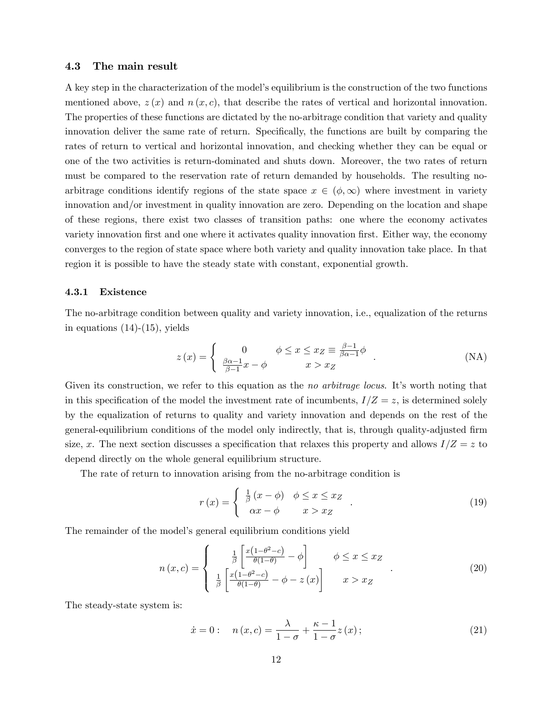### 4.3 The main result

A key step in the characterization of the model's equilibrium is the construction of the two functions mentioned above,  $z(x)$  and  $n(x, c)$ , that describe the rates of vertical and horizontal innovation. The properties of these functions are dictated by the no-arbitrage condition that variety and quality innovation deliver the same rate of return. Specifically, the functions are built by comparing the rates of return to vertical and horizontal innovation, and checking whether they can be equal or one of the two activities is return-dominated and shuts down. Moreover, the two rates of return must be compared to the reservation rate of return demanded by households. The resulting noarbitrage conditions identify regions of the state space  $x \in (\phi, \infty)$  where investment in variety innovation and/or investment in quality innovation are zero. Depending on the location and shape of these regions, there exist two classes of transition paths: one where the economy activates variety innovation first and one where it activates quality innovation first. Either way, the economy converges to the region of state space where both variety and quality innovation take place. In that region it is possible to have the steady state with constant, exponential growth.

#### 4.3.1 Existence

The no-arbitrage condition between quality and variety innovation, i.e., equalization of the returns in equations  $(14)-(15)$ , yields

$$
z(x) = \begin{cases} 0 & \phi \le x \le x_Z \equiv \frac{\beta - 1}{\beta \alpha - 1} \phi \\ \frac{\beta \alpha - 1}{\beta - 1} x - \phi & x > x_Z \end{cases}
$$
 (NA)

Given its construction, we refer to this equation as the *no arbitrage locus*. It's worth noting that in this specification of the model the investment rate of incumbents,  $I/Z = z$ , is determined solely by the equalization of returns to quality and variety innovation and depends on the rest of the general-equilibrium conditions of the model only indirectly, that is, through quality-adjusted firm size, x. The next section discusses a specification that relaxes this property and allows  $I/Z = z$  to depend directly on the whole general equilibrium structure.

The rate of return to innovation arising from the no-arbitrage condition is

$$
r(x) = \begin{cases} \frac{1}{\beta}(x - \phi) & \phi \le x \le x_Z \\ \alpha x - \phi & x > x_Z \end{cases} . \tag{19}
$$

The remainder of the model's general equilibrium conditions yield

$$
n(x,c) = \begin{cases} \frac{1}{\beta} \left[ \frac{x(1-\theta^2-c)}{\theta(1-\theta)} - \phi \right] & \phi \le x \le x_Z \\ \frac{1}{\beta} \left[ \frac{x(1-\theta^2-c)}{\theta(1-\theta)} - \phi - z(x) \right] & x > x_Z \end{cases}
$$
(20)

The steady-state system is:

$$
\dot{x} = 0:
$$
  $n(x, c) = \frac{\lambda}{1 - \sigma} + \frac{\kappa - 1}{1 - \sigma} z(x);$  (21)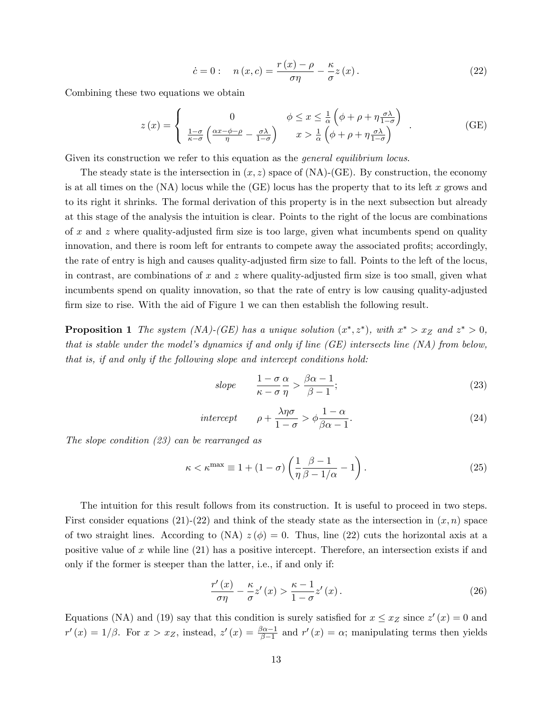$$
\dot{c} = 0: \quad n(x, c) = \frac{r(x) - \rho}{\sigma \eta} - \frac{\kappa}{\sigma} z(x). \tag{22}
$$

Combining these two equations we obtain

$$
z(x) = \begin{cases} 0 & \phi \le x \le \frac{1}{\alpha} \left( \phi + \rho + \eta \frac{\sigma \lambda}{1 - \sigma} \right) \\ \frac{1 - \sigma}{\kappa - \sigma} \left( \frac{\alpha x - \phi - \rho}{\eta} - \frac{\sigma \lambda}{1 - \sigma} \right) & x > \frac{1}{\alpha} \left( \phi + \rho + \eta \frac{\sigma \lambda}{1 - \sigma} \right) \end{cases}
$$
(GE)

Given its construction we refer to this equation as the *general equilibrium locus*.

The steady state is the intersection in  $(x, z)$  space of  $(NA)-(GE)$ . By construction, the economy is at all times on the (NA) locus while the (GE) locus has the property that to its left *x* grows and to its right it shrinks. The formal derivation of this property is in the next subsection but already at this stage of the analysis the intuition is clear. Points to the right of the locus are combinations of *x* and *z* where quality-adjusted firm size is too large, given what incumbents spend on quality innovation, and there is room left for entrants to compete away the associated profits; accordingly, the rate of entry is high and causes quality-adjusted firm size to fall. Points to the left of the locus, in contrast, are combinations of *x* and *z* where quality-adjusted firm size is too small, given what incumbents spend on quality innovation, so that the rate of entry is low causing quality-adjusted firm size to rise. With the aid of Figure 1 we can then establish the following result.

**Proposition 1** *The system (NA)-(GE) has a unique solution*  $(x^*, z^*)$ *, with*  $x^* > x_Z$  *and*  $z^* > 0$ *, that is stable under the model's dynamics if and only if line (GE) intersects line (NA) from below, that is, if and only if the following slope and intercept conditions hold:*

$$
slope \qquad \frac{1-\sigma}{\kappa-\sigma} \frac{\alpha}{\eta} > \frac{\beta\alpha-1}{\beta-1};\tag{23}
$$

$$
intercept \qquad \rho + \frac{\lambda \eta \sigma}{1 - \sigma} > \phi \frac{1 - \alpha}{\beta \alpha - 1}.
$$
\n(24)

*The slope condition (23) can be rearranged as*

$$
\kappa < \kappa^{\max} \equiv 1 + (1 - \sigma) \left( \frac{1}{\eta} \frac{\beta - 1}{\beta - 1/\alpha} - 1 \right). \tag{25}
$$

The intuition for this result follows from its construction. It is useful to proceed in two steps. First consider equations  $(21)-(22)$  and think of the steady state as the intersection in  $(x, n)$  space of two straight lines. According to  $(NA) z(\phi) = 0$ . Thus, line (22) cuts the horizontal axis at a positive value of *x* while line (21) has a positive intercept. Therefore, an intersection exists if and only if the former is steeper than the latter, i.e., if and only if:

$$
\frac{r'(x)}{\sigma \eta} - \frac{\kappa}{\sigma} z'(x) > \frac{\kappa - 1}{1 - \sigma} z'(x) \,. \tag{26}
$$

Equations (NA) and (19) say that this condition is surely satisfied for  $x \le x_Z$  since  $z'(x) = 0$  and  $r'(x)=1/\beta$ . For  $x>x_Z$ , instead,  $z'(x)=\frac{\beta\alpha-1}{\beta-1}$  and  $r'(x)=\alpha$ ; manipulating terms then yields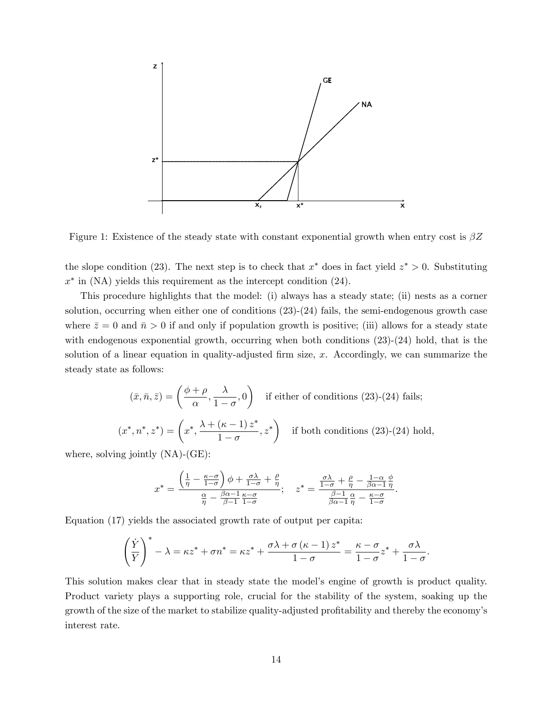

Figure 1: Existence of the steady state with constant exponential growth when entry cost is β*Z*

the slope condition (23). The next step is to check that  $x^*$  does in fact yield  $z^* > 0$ . Substituting *x*<sup>∗</sup> in (NA) yields this requirement as the intercept condition (24).

This procedure highlights that the model: (i) always has a steady state; (ii) nests as a corner solution, occurring when either one of conditions  $(23)-(24)$  fails, the semi-endogenous growth case where  $\bar{z}=0$  and  $\bar{n}>0$  if and only if population growth is positive; (iii) allows for a steady state with endogenous exponential growth, occurring when both conditions  $(23)-(24)$  hold, that is the solution of a linear equation in quality-adjusted firm size, *x*. Accordingly, we can summarize the steady state as follows:

$$
(\bar{x}, \bar{n}, \bar{z}) = \left(\frac{\phi + \rho}{\alpha}, \frac{\lambda}{1 - \sigma}, 0\right) \text{ if either of conditions (23)-(24) fails;}
$$

$$
(x^*, n^*, z^*) = \left(x^*, \frac{\lambda + (\kappa - 1)z^*}{1 - \sigma}, z^*\right) \text{ if both conditions (23)-(24) hold,}
$$

where, solving jointly (NA)-(GE):

$$
x^* = \frac{\left(\frac{1}{\eta} - \frac{\kappa - \sigma}{1 - \sigma}\right)\phi + \frac{\sigma\lambda}{1 - \sigma} + \frac{\rho}{\eta}}{\frac{\alpha}{\eta} - \frac{\beta\alpha - 1}{\beta - 1}\frac{\kappa - \sigma}{1 - \sigma}};\quad z^* = \frac{\frac{\sigma\lambda}{1 - \sigma} + \frac{\rho}{\eta} - \frac{1 - \alpha}{\beta\alpha - 1}\frac{\phi}{\eta}}{\frac{\beta - 1}{\beta\alpha - 1}\frac{\alpha}{\eta} - \frac{\kappa - \sigma}{1 - \sigma}}.
$$

Equation (17) yields the associated growth rate of output per capita:

$$
\left(\frac{\dot{Y}}{Y}\right)^{*} - \lambda = \kappa z^{*} + \sigma n^{*} = \kappa z^{*} + \frac{\sigma \lambda + \sigma (\kappa - 1) z^{*}}{1 - \sigma} = \frac{\kappa - \sigma}{1 - \sigma} z^{*} + \frac{\sigma \lambda}{1 - \sigma}.
$$

This solution makes clear that in steady state the model's engine of growth is product quality. Product variety plays a supporting role, crucial for the stability of the system, soaking up the growth of the size of the market to stabilize quality-adjusted profitability and thereby the economy's interest rate.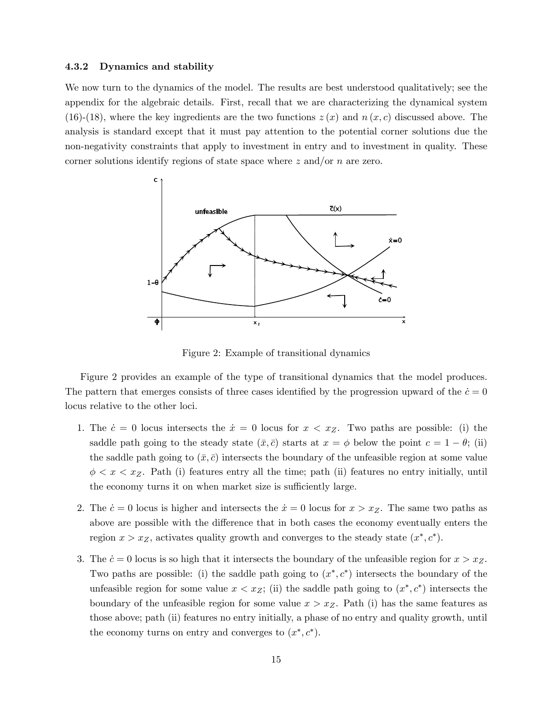#### 4.3.2 Dynamics and stability

We now turn to the dynamics of the model. The results are best understood qualitatively; see the appendix for the algebraic details. First, recall that we are characterizing the dynamical system (16)-(18), where the key ingredients are the two functions  $z(x)$  and  $n(x, c)$  discussed above. The analysis is standard except that it must pay attention to the potential corner solutions due the non-negativity constraints that apply to investment in entry and to investment in quality. These corner solutions identify regions of state space where *z* and/or *n* are zero.



Figure 2: Example of transitional dynamics

Figure 2 provides an example of the type of transitional dynamics that the model produces. The pattern that emerges consists of three cases identified by the progression upward of the  $\dot{c}=0$ locus relative to the other loci.

- 1. The  $\dot{c} = 0$  locus intersects the  $\dot{x} = 0$  locus for  $x < x_Z$ . Two paths are possible: (i) the saddle path going to the steady state  $(\bar{x}, \bar{c})$  starts at  $x = \phi$  below the point  $c = 1 - \theta$ ; (ii) the saddle path going to  $(\bar{x}, \bar{c})$  intersects the boundary of the unfeasible region at some value  $\phi < x < x_Z$ . Path (i) features entry all the time; path (ii) features no entry initially, until the economy turns it on when market size is sufficiently large.
- 2. The  $\dot{c} = 0$  locus is higher and intersects the  $\dot{x} = 0$  locus for  $x > x_Z$ . The same two paths as above are possible with the difference that in both cases the economy eventually enters the region  $x > x_Z$ , activates quality growth and converges to the steady state  $(x^*, c^*)$ .
- 3. The  $\dot{c} = 0$  locus is so high that it intersects the boundary of the unfeasible region for  $x > x_Z$ . Two paths are possible: (i) the saddle path going to  $(x^*, c^*)$  intersects the boundary of the unfeasible region for some value  $x < x_Z$ ; (ii) the saddle path going to  $(x^*, c^*)$  intersects the boundary of the unfeasible region for some value  $x > x_Z$ . Path (i) has the same features as those above; path (ii) features no entry initially, a phase of no entry and quality growth, until the economy turns on entry and converges to  $(x^*, c^*)$ .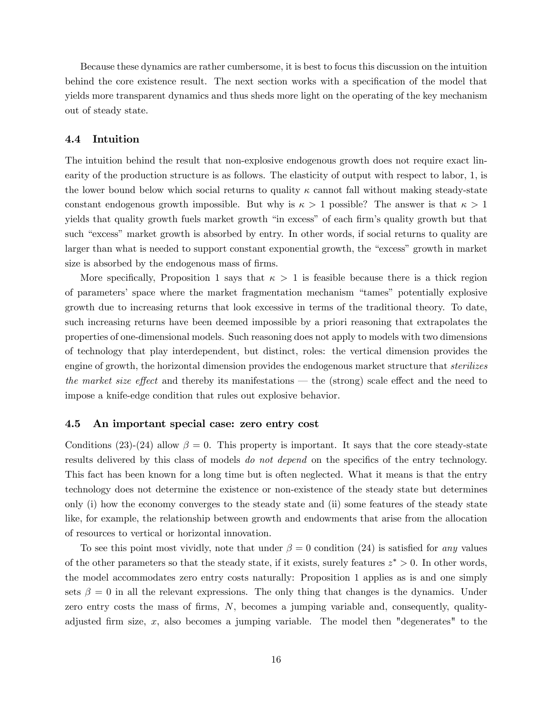Because these dynamics are rather cumbersome, it is best to focus this discussion on the intuition behind the core existence result. The next section works with a specification of the model that yields more transparent dynamics and thus sheds more light on the operating of the key mechanism out of steady state.

## 4.4 Intuition

The intuition behind the result that non-explosive endogenous growth does not require exact linearity of the production structure is as follows. The elasticity of output with respect to labor, 1, is the lower bound below which social returns to quality  $\kappa$  cannot fall without making steady-state constant endogenous growth impossible. But why is  $\kappa > 1$  possible? The answer is that  $\kappa > 1$ yields that quality growth fuels market growth "in excess" of each firm's quality growth but that such "excess" market growth is absorbed by entry. In other words, if social returns to quality are larger than what is needed to support constant exponential growth, the "excess" growth in market size is absorbed by the endogenous mass of firms.

More specifically, Proposition 1 says that  $\kappa > 1$  is feasible because there is a thick region of parameters' space where the market fragmentation mechanism "tames" potentially explosive growth due to increasing returns that look excessive in terms of the traditional theory. To date, such increasing returns have been deemed impossible by a priori reasoning that extrapolates the properties of one-dimensional models. Such reasoning does not apply to models with two dimensions of technology that play interdependent, but distinct, roles: the vertical dimension provides the engine of growth, the horizontal dimension provides the endogenous market structure that *sterilizes the market size effect* and thereby its manifestations — the (strong) scale effect and the need to impose a knife-edge condition that rules out explosive behavior.

#### 4.5 An important special case: zero entry cost

Conditions (23)-(24) allow  $\beta = 0$ . This property is important. It says that the core steady-state results delivered by this class of models *do not depend* on the specifics of the entry technology. This fact has been known for a long time but is often neglected. What it means is that the entry technology does not determine the existence or non-existence of the steady state but determines only (i) how the economy converges to the steady state and (ii) some features of the steady state like, for example, the relationship between growth and endowments that arise from the allocation of resources to vertical or horizontal innovation.

To see this point most vividly, note that under  $\beta = 0$  condition (24) is satisfied for *any* values of the other parameters so that the steady state, if it exists, surely features *z*∗ *>* 0. In other words, the model accommodates zero entry costs naturally: Proposition 1 applies as is and one simply sets  $\beta = 0$  in all the relevant expressions. The only thing that changes is the dynamics. Under zero entry costs the mass of firms, *N*, becomes a jumping variable and, consequently, qualityadjusted firm size, *x*, also becomes a jumping variable. The model then "degenerates" to the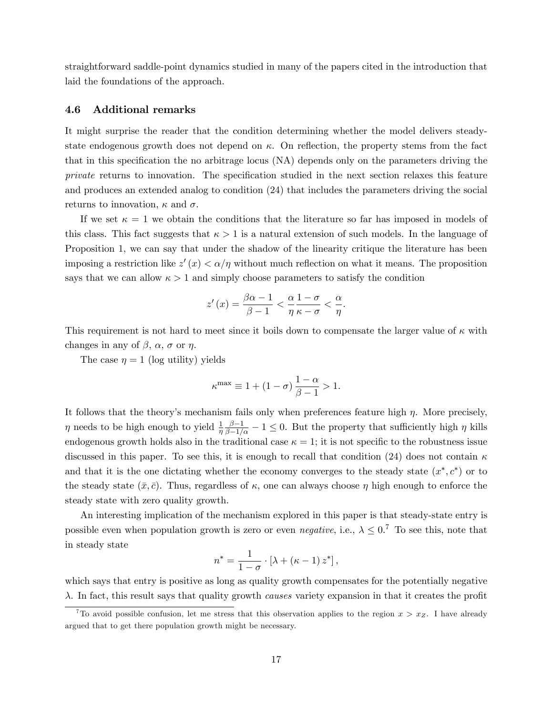straightforward saddle-point dynamics studied in many of the papers cited in the introduction that laid the foundations of the approach.

## 4.6 Additional remarks

It might surprise the reader that the condition determining whether the model delivers steadystate endogenous growth does not depend on  $\kappa$ . On reflection, the property stems from the fact that in this specification the no arbitrage locus (NA) depends only on the parameters driving the *private* returns to innovation. The specification studied in the next section relaxes this feature and produces an extended analog to condition (24) that includes the parameters driving the social returns to innovation,  $\kappa$  and  $\sigma$ .

If we set  $\kappa = 1$  we obtain the conditions that the literature so far has imposed in models of this class. This fact suggests that  $\kappa > 1$  is a natural extension of such models. In the language of Proposition 1, we can say that under the shadow of the linearity critique the literature has been imposing a restriction like  $z'(x) < \alpha/\eta$  without much reflection on what it means. The proposition says that we can allow  $\kappa > 1$  and simply choose parameters to satisfy the condition

$$
z'(x) = \frac{\beta\alpha - 1}{\beta - 1} < \frac{\alpha}{\eta} \frac{1 - \sigma}{\kappa - \sigma} < \frac{\alpha}{\eta}.
$$

This requirement is not hard to meet since it boils down to compensate the larger value of  $\kappa$  with changes in any of  $\beta$ ,  $\alpha$ ,  $\sigma$  or  $\eta$ .

The case  $\eta = 1$  (log utility) yields

$$
\kappa^{\max} \equiv 1 + (1 - \sigma) \frac{1 - \alpha}{\beta - 1} > 1.
$$

It follows that the theory's mechanism fails only when preferences feature high  $\eta$ . More precisely,  $\eta$  needs to be high enough to yield  $\frac{1}{\eta} \frac{\beta - 1}{\beta - 1/\alpha} - 1 \le 0$ . But the property that sufficiently high  $\eta$  kills endogenous growth holds also in the traditional case  $\kappa = 1$ ; it is not specific to the robustness issue discussed in this paper. To see this, it is enough to recall that condition (24) does not contain  $\kappa$ and that it is the one dictating whether the economy converges to the steady state  $(x^*, c^*)$  or to the steady state  $(\bar{x}, \bar{c})$ . Thus, regardless of  $\kappa$ , one can always choose  $\eta$  high enough to enforce the steady state with zero quality growth.

An interesting implication of the mechanism explored in this paper is that steady-state entry is possible even when population growth is zero or even *negative*, i.e.,  $\lambda \leq 0$ .<sup>7</sup> To see this, note that in steady state

$$
n^* = \frac{1}{1-\sigma} \cdot \left[\lambda + (\kappa - 1) z^*\right],
$$

which says that entry is positive as long as quality growth compensates for the potentially negative λ. In fact, this result says that quality growth *causes* variety expansion in that it creates the profit

<sup>&</sup>lt;sup>7</sup>To avoid possible confusion, let me stress that this observation applies to the region  $x > x_Z$ . I have already argued that to get there population growth might be necessary.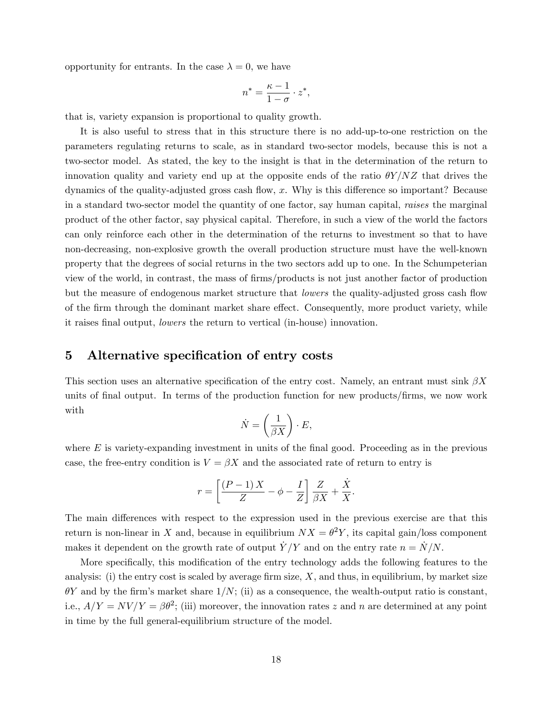opportunity for entrants. In the case  $\lambda = 0$ , we have

$$
n^* = \frac{\kappa - 1}{1 - \sigma} \cdot z^*,
$$

that is, variety expansion is proportional to quality growth.

It is also useful to stress that in this structure there is no add-up-to-one restriction on the parameters regulating returns to scale, as in standard two-sector models, because this is not a two-sector model. As stated, the key to the insight is that in the determination of the return to innovation quality and variety end up at the opposite ends of the ratio θ*Y /NZ* that drives the dynamics of the quality-adjusted gross cash flow, x. Why is this difference so important? Because in a standard two-sector model the quantity of one factor, say human capital, *raises* the marginal product of the other factor, say physical capital. Therefore, in such a view of the world the factors can only reinforce each other in the determination of the returns to investment so that to have non-decreasing, non-explosive growth the overall production structure must have the well-known property that the degrees of social returns in the two sectors add up to one. In the Schumpeterian view of the world, in contrast, the mass of firms/products is not just another factor of production but the measure of endogenous market structure that *lowers* the quality-adjusted gross cash flow of the firm through the dominant market share effect. Consequently, more product variety, while it raises final output, *lowers* the return to vertical (in-house) innovation.

## 5 Alternative specification of entry costs

This section uses an alternative specification of the entry cost. Namely, an entrant must sink β*X* units of final output. In terms of the production function for new products/firms, we now work with

$$
\dot{N} = \left(\frac{1}{\beta X}\right) \cdot E,
$$

where  $E$  is variety-expanding investment in units of the final good. Proceeding as in the previous case, the free-entry condition is  $V = \beta X$  and the associated rate of return to entry is

$$
r = \left[\frac{(P-1)X}{Z} - \phi - \frac{I}{Z}\right]\frac{Z}{\beta X} + \frac{\dot{X}}{X}.
$$

The main differences with respect to the expression used in the previous exercise are that this return is non-linear in *X* and, because in equilibrium  $NX = \theta^2 Y$ , its capital gain/loss component makes it dependent on the growth rate of output  $\dot{Y}/Y$  and on the entry rate  $n = \dot{N}/N$ .

More specifically, this modification of the entry technology adds the following features to the analysis: (i) the entry cost is scaled by average firm size, *X*, and thus, in equilibrium, by market size  $\theta Y$  and by the firm's market share  $1/N$ ; (ii) as a consequence, the wealth-output ratio is constant, i.e.,  $A/Y = NV/Y = \beta\theta^2$ ; (iii) moreover, the innovation rates *z* and *n* are determined at any point in time by the full general-equilibrium structure of the model.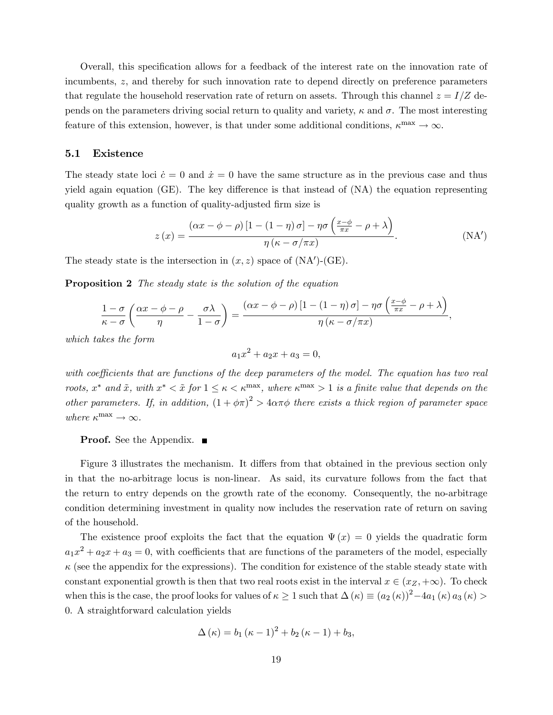Overall, this specification allows for a feedback of the interest rate on the innovation rate of incumbents, *z*, and thereby for such innovation rate to depend directly on preference parameters that regulate the household reservation rate of return on assets. Through this channel  $z = I/Z$  depends on the parameters driving social return to quality and variety,  $\kappa$  and  $\sigma$ . The most interesting feature of this extension, however, is that under some additional conditions,  $\kappa^{\max} \to \infty$ .

## 5.1 Existence

The steady state loci  $\dot{c} = 0$  and  $\dot{x} = 0$  have the same structure as in the previous case and thus yield again equation (GE). The key difference is that instead of  $(NA)$  the equation representing quality growth as a function of quality-adjusted firm size is

$$
z(x) = \frac{(\alpha x - \phi - \rho) [1 - (1 - \eta) \sigma] - \eta \sigma \left(\frac{x - \phi}{\pi x} - \rho + \lambda\right)}{\eta (\kappa - \sigma/\pi x)}.
$$
 (NA')

The steady state is the intersection in  $(x, z)$  space of  $(NA')$ - $(GE)$ .

Proposition 2 *The steady state is the solution of the equation*

$$
\frac{1-\sigma}{\kappa-\sigma}\left(\frac{\alpha x-\phi-\rho}{\eta}-\frac{\sigma\lambda}{1-\sigma}\right)=\frac{(\alpha x-\phi-\rho)\left[1-(1-\eta)\sigma\right]-\eta\sigma\left(\frac{x-\phi}{\pi x}-\rho+\lambda\right)}{\eta\left(\kappa-\sigma/\pi x\right)},
$$

*which takes the form*

$$
a_1x^2 + a_2x + a_3 = 0,
$$

*with coefficients that are functions of the deep parameters of the model. The equation has two real roots,*  $x^*$  *and*  $\tilde{x}$ *, with*  $x^* < \tilde{x}$  *for*  $1 \leq \kappa < \kappa^{\max}$ *, where*  $\kappa^{\max} > 1$  *is a finite value that depends on the other parameters.* If, in addition,  $(1 + \phi \pi)^2 > 4\alpha \pi \phi$  there exists a thick region of parameter space *where*  $\kappa^{\max} \to \infty$ .

#### **Proof.** See the Appendix. ■

Figure 3 illustrates the mechanism. It differs from that obtained in the previous section only in that the no-arbitrage locus is non-linear. As said, its curvature follows from the fact that the return to entry depends on the growth rate of the economy. Consequently, the no-arbitrage condition determining investment in quality now includes the reservation rate of return on saving of the household.

The existence proof exploits the fact that the equation  $\Psi(x)=0$  yields the quadratic form  $a_1x^2 + a_2x + a_3 = 0$ , with coefficients that are functions of the parameters of the model, especially  $\kappa$  (see the appendix for the expressions). The condition for existence of the stable steady state with constant exponential growth is then that two real roots exist in the interval  $x \in (x_Z, +\infty)$ . To check when this is the case, the proof looks for values of  $\kappa \geq 1$  such that  $\Delta(\kappa) \equiv (a_2(\kappa))^2 - 4a_1(\kappa) a_3(\kappa) >$ 0. A straightforward calculation yields

$$
\Delta(\kappa) = b_1 (\kappa - 1)^2 + b_2 (\kappa - 1) + b_3,
$$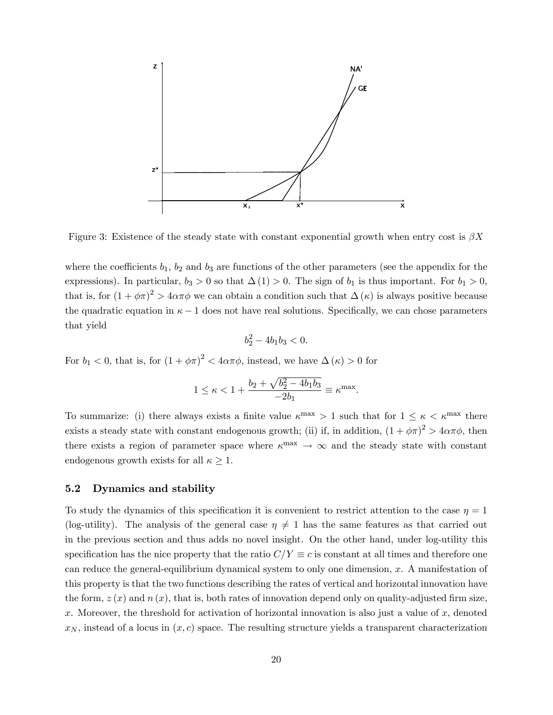

Figure 3: Existence of the steady state with constant exponential growth when entry cost is β*X*

where the coefficients  $b_1$ ,  $b_2$  and  $b_3$  are functions of the other parameters (see the appendix for the expressions). In particular,  $b_3 > 0$  so that  $\Delta(1) > 0$ . The sign of  $b_1$  is thus important. For  $b_1 > 0$ , that is, for  $(1 + \phi \pi)^2 > 4\alpha\pi\phi$  we can obtain a condition such that  $\Delta(\kappa)$  is always positive because the quadratic equation in  $\kappa - 1$  does not have real solutions. Specifically, we can chose parameters that yield

$$
b_2^2 - 4b_1b_3 < 0.
$$

For  $b_1 < 0$ , that is, for  $(1 + \phi \pi)^2 < 4\alpha \pi \phi$ , instead, we have  $\Delta(\kappa) > 0$  for

$$
1 \le \kappa < 1 + \frac{b_2 + \sqrt{b_2^2 - 4b_1b_3}}{-2b_1} \equiv \kappa^{\max}.
$$

To summarize: (i) there always exists a finite value  $\kappa^{\text{max}} > 1$  such that for  $1 \leq \kappa < \kappa^{\text{max}}$  there exists a steady state with constant endogenous growth; (ii) if, in addition,  $(1 + \phi \pi)^2 > 4\alpha\pi\phi$ , then there exists a region of parameter space where  $\kappa^{\text{max}} \to \infty$  and the steady state with constant endogenous growth exists for all  $\kappa \geq 1$ .

## 5.2 Dynamics and stability

To study the dynamics of this specification it is convenient to restrict attention to the case  $\eta = 1$ (log-utility). The analysis of the general case  $\eta \neq 1$  has the same features as that carried out in the previous section and thus adds no novel insight. On the other hand, under log-utility this specification has the nice property that the ratio  $C/Y \equiv c$  is constant at all times and therefore one can reduce the general-equilibrium dynamical system to only one dimension, *x*. A manifestation of this property is that the two functions describing the rates of vertical and horizontal innovation have the form,  $z(x)$  and  $n(x)$ , that is, both rates of innovation depend only on quality-adjusted firm size, *x*. Moreover, the threshold for activation of horizontal innovation is also just a value of *x*, denoted  $x_N$ , instead of a locus in  $(x, c)$  space. The resulting structure yields a transparent characterization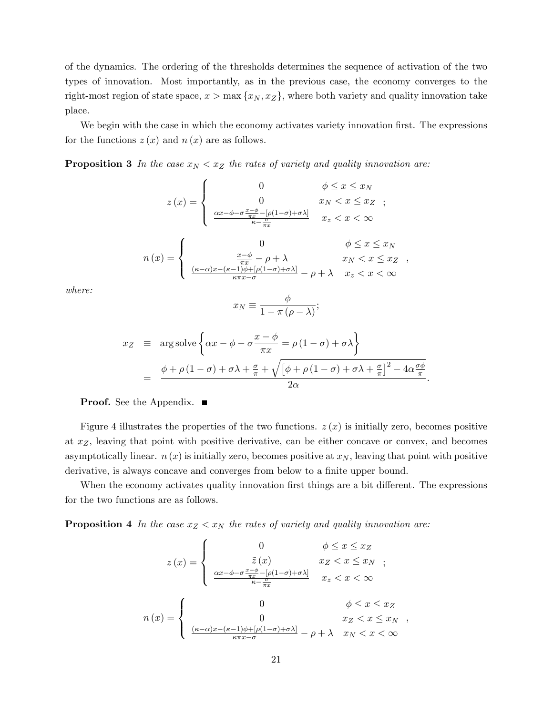of the dynamics. The ordering of the thresholds determines the sequence of activation of the two types of innovation. Most importantly, as in the previous case, the economy converges to the right-most region of state space,  $x > \max\{x_N, x_Z\}$ , where both variety and quality innovation take place.

We begin with the case in which the economy activates variety innovation first. The expressions for the functions  $z(x)$  and  $n(x)$  are as follows.

**Proposition 3** In the case  $x_N < x_Z$  the rates of variety and quality innovation are:

$$
z(x) = \begin{cases} 0 & \phi \leq x \leq x_N \\ 0 & x_N < x \leq x_Z \\ \frac{\alpha x - \phi - \sigma \frac{x - \phi}{\pi x} - [\rho(1 - \sigma) + \sigma \lambda]}{\kappa - \frac{\sigma}{\pi x}} & x_z < x < \infty \end{cases}
$$

$$
n(x) = \begin{cases} 0 & \phi \leq x \leq x_N \\ \frac{x - \phi}{\pi x} - \rho + \lambda & x_N < x \leq x_Z \\ \frac{(\kappa - \alpha)x - (\kappa - 1)\phi + [\rho(1 - \sigma) + \sigma \lambda]}{\kappa \pi x - \sigma} - \rho + \lambda & x_z < x < \infty \end{cases}
$$

*where:*

$$
x_N \equiv \frac{\phi}{1 - \pi \left(\rho - \lambda\right)};
$$

$$
x_Z \equiv \arg \operatorname{solve} \left\{ \alpha x - \phi - \sigma \frac{x - \phi}{\pi x} = \rho (1 - \sigma) + \sigma \lambda \right\}
$$
  
= 
$$
\frac{\phi + \rho (1 - \sigma) + \sigma \lambda + \frac{\sigma}{\pi} + \sqrt{\left[\phi + \rho (1 - \sigma) + \sigma \lambda + \frac{\sigma}{\pi}\right]^2 - 4\alpha \frac{\sigma \phi}{\pi}}}{2\alpha}.
$$

## **Proof.** See the Appendix. ■

Figure 4 illustrates the properties of the two functions.  $z(x)$  is initially zero, becomes positive at *xZ*, leaving that point with positive derivative, can be either concave or convex, and becomes asymptotically linear.  $n(x)$  is initially zero, becomes positive at  $x<sub>N</sub>$ , leaving that point with positive derivative, is always concave and converges from below to a finite upper bound.

When the economy activates quality innovation first things are a bit different. The expressions for the two functions are as follows.

**Proposition 4** In the case  $x_Z < x_N$  the rates of variety and quality innovation are:

$$
z(x) = \begin{cases} 0 & \phi \le x \le x_Z \\ \frac{\tilde{z}(x)}{\alpha x - \phi - \sigma \frac{x - \phi}{\pi x} - [\rho(1 - \sigma) + \sigma \lambda]} & x_Z < x < \infty \\ \frac{\alpha x - \phi - \sigma \frac{x - \phi}{\pi x} - [\rho(1 - \sigma) + \sigma \lambda]}{\kappa - \frac{\sigma}{\pi x}} & x_z < x < \infty \end{cases}
$$
\n
$$
n(x) = \begin{cases} 0 & \phi \le x \le x_Z \\ 0 & x_Z < x \le x_N \\ \frac{(\kappa - \alpha)x - (\kappa - 1)\phi + [\rho(1 - \sigma) + \sigma \lambda]}{\kappa \pi x - \sigma} - \rho + \lambda & x_N < x < \infty \end{cases}
$$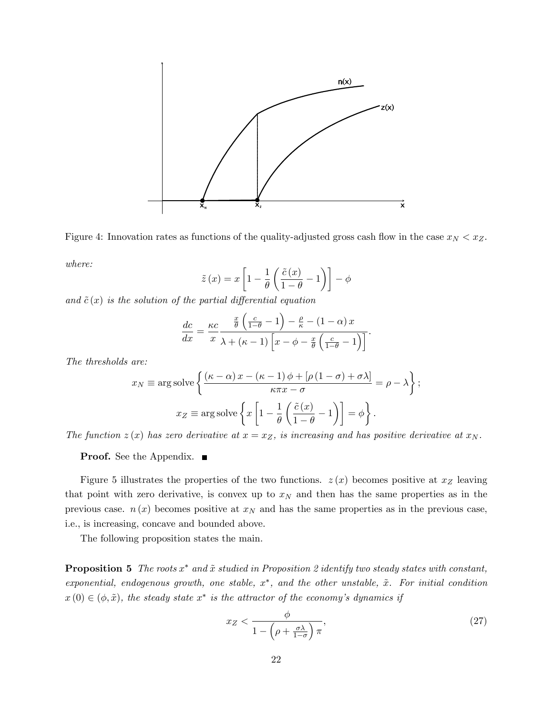



$$
\tilde{z}(x) = x \left[ 1 - \frac{1}{\theta} \left( \frac{\tilde{c}(x)}{1 - \theta} - 1 \right) \right] - \phi
$$

and  $\tilde{c}(x)$  *is the solution of the partial differential equation* 

$$
\frac{dc}{dx} = \frac{\kappa c}{x} \frac{\frac{x}{\theta} \left( \frac{c}{1-\theta} - 1 \right) - \frac{\rho}{\kappa} - (1 - \alpha) x}{\lambda + (\kappa - 1) \left[ x - \phi - \frac{x}{\theta} \left( \frac{c}{1-\theta} - 1 \right) \right]}.
$$

*The thresholds are:*

$$
x_N \equiv \arg \operatorname{solve} \left\{ \frac{(\kappa - \alpha) x - (\kappa - 1) \phi + [\rho (1 - \sigma) + \sigma \lambda]}{\kappa \pi x - \sigma} = \rho - \lambda \right\};
$$

$$
x_Z \equiv \arg \operatorname{solve} \left\{ x \left[ 1 - \frac{1}{\theta} \left( \frac{\tilde{c}(x)}{1 - \theta} - 1 \right) \right] = \phi \right\}.
$$

*The function*  $z(x)$  *has zero derivative at*  $x = x_Z$ *, is increasing and has positive derivative at*  $x_N$ *.* 

**Proof.** See the Appendix. ■

Figure 5 illustrates the properties of the two functions.  $z(x)$  becomes positive at  $x<sub>Z</sub>$  leaving that point with zero derivative, is convex up to  $x_N$  and then has the same properties as in the previous case.  $n(x)$  becomes positive at  $x<sub>N</sub>$  and has the same properties as in the previous case, i.e., is increasing, concave and bounded above.

The following proposition states the main.

**Proposition 5** The roots  $x^*$  and  $\tilde{x}$  studied in Proposition 2 identify two steady states with constant, *exponential, endogenous growth, one stable, x*∗*, and the other unstable, x*˜*. For initial condition*  $x(0) \in (\phi, \tilde{x})$ *, the steady state*  $x^*$  *is the attractor of the economy's dynamics if* 

$$
x_Z < \frac{\phi}{1 - \left(\rho + \frac{\sigma \lambda}{1 - \sigma}\right)\pi},\tag{27}
$$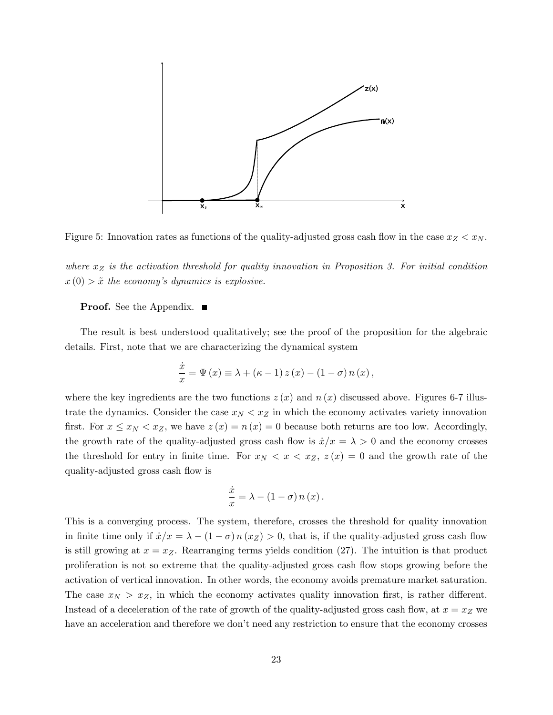



*where x<sup>Z</sup> is the activation threshold for quality innovation in Proposition 3. For initial condition*  $x(0) > \tilde{x}$  the economy's dynamics is explosive.

## **Proof.** See the Appendix. ■

The result is best understood qualitatively; see the proof of the proposition for the algebraic details. First, note that we are characterizing the dynamical system

$$
\frac{\dot{x}}{x} = \Psi(x) \equiv \lambda + (\kappa - 1) z(x) - (1 - \sigma) n(x),
$$

where the key ingredients are the two functions  $z(x)$  and  $n(x)$  discussed above. Figures 6-7 illustrate the dynamics. Consider the case  $x_N < x_Z$  in which the economy activates variety innovation first. For  $x \leq x_N < x_Z$ , we have  $z(x) = n(x) = 0$  because both returns are too low. Accordingly, the growth rate of the quality-adjusted gross cash flow is  $\dot{x}/x = \lambda > 0$  and the economy crosses the threshold for entry in finite time. For  $x_N < x < x_Z$ ,  $z(x) = 0$  and the growth rate of the quality-adjusted gross cash flow is

$$
\frac{\dot{x}}{x} = \lambda - (1 - \sigma) n(x).
$$

This is a converging process. The system, therefore, crosses the threshold for quality innovation in finite time only if  $\dot{x}/x = \lambda - (1 - \sigma) n(xz) > 0$ , that is, if the quality-adjusted gross cash flow is still growing at  $x = x_Z$ . Rearranging terms yields condition (27). The intuition is that product proliferation is not so extreme that the quality-adjusted gross cash flow stops growing before the activation of vertical innovation. In other words, the economy avoids premature market saturation. The case  $x_N > x_Z$ , in which the economy activates quality innovation first, is rather different. Instead of a deceleration of the rate of growth of the quality-adjusted gross cash flow, at  $x = x_Z$  we have an acceleration and therefore we don't need any restriction to ensure that the economy crosses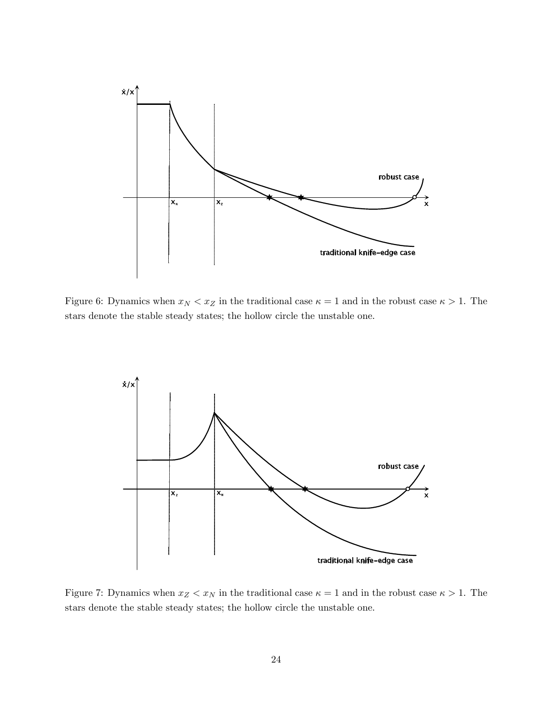

Figure 6: Dynamics when  $x_N < x_Z$  in the traditional case  $\kappa = 1$  and in the robust case  $\kappa > 1$ . The stars denote the stable steady states; the hollow circle the unstable one.



Figure 7: Dynamics when  $x_Z < x_N$  in the traditional case  $\kappa = 1$  and in the robust case  $\kappa > 1$ . The stars denote the stable steady states; the hollow circle the unstable one.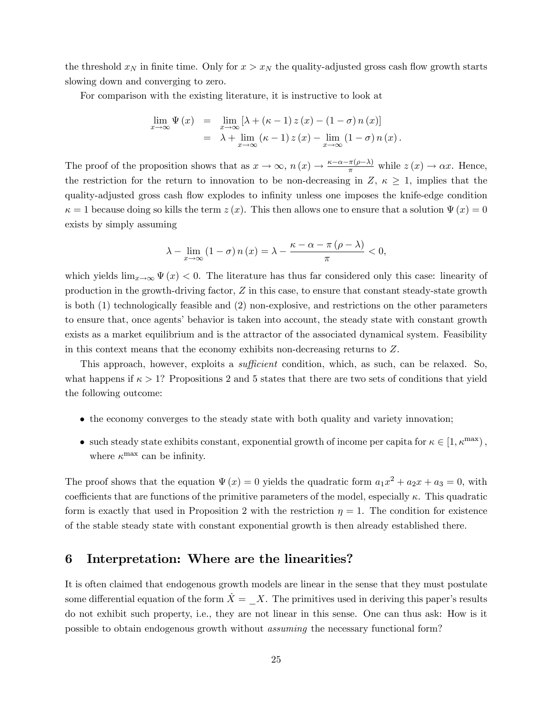the threshold  $x_N$  in finite time. Only for  $x > x_N$  the quality-adjusted gross cash flow growth starts slowing down and converging to zero.

For comparison with the existing literature, it is instructive to look at

$$
\lim_{x \to \infty} \Psi(x) = \lim_{x \to \infty} \left[ \lambda + (\kappa - 1) z(x) - (1 - \sigma) n(x) \right]
$$
  
=  $\lambda + \lim_{x \to \infty} (\kappa - 1) z(x) - \lim_{x \to \infty} (1 - \sigma) n(x).$ 

The proof of the proposition shows that as  $x \to \infty$ ,  $n(x) \to \frac{\kappa - \alpha - \pi(\rho - \lambda)}{\pi}$  while  $z(x) \to \alpha x$ . Hence, the restriction for the return to innovation to be non-decreasing in  $Z, \kappa \geq 1$ , implies that the quality-adjusted gross cash flow explodes to infinity unless one imposes the knife-edge condition  $\kappa = 1$  because doing so kills the term  $z(x)$ . This then allows one to ensure that a solution  $\Psi(x) = 0$ exists by simply assuming

$$
\lambda - \lim_{x \to \infty} (1 - \sigma) n(x) = \lambda - \frac{\kappa - \alpha - \pi (\rho - \lambda)}{\pi} < 0,
$$

which yields  $\lim_{x\to\infty} \Psi(x) < 0$ . The literature has thus far considered only this case: linearity of production in the growth-driving factor, *Z* in this case, to ensure that constant steady-state growth is both (1) technologically feasible and (2) non-explosive, and restrictions on the other parameters to ensure that, once agents' behavior is taken into account, the steady state with constant growth exists as a market equilibrium and is the attractor of the associated dynamical system. Feasibility in this context means that the economy exhibits non-decreasing returns to *Z*.

This approach, however, exploits a *sufficient* condition, which, as such, can be relaxed. So, what happens if  $\kappa > 1$ ? Propositions 2 and 5 states that there are two sets of conditions that yield the following outcome:

- the economy converges to the steady state with both quality and variety innovation;
- such steady state exhibits constant, exponential growth of income per capita for  $\kappa \in [1, \kappa^{\max})$ , where  $\kappa^{\text{max}}$  can be infinity.

The proof shows that the equation  $\Psi(x) = 0$  yields the quadratic form  $a_1x^2 + a_2x + a_3 = 0$ , with coefficients that are functions of the primitive parameters of the model, especially  $\kappa$ . This quadratic form is exactly that used in Proposition 2 with the restriction  $\eta = 1$ . The condition for existence of the stable steady state with constant exponential growth is then already established there.

## 6 Interpretation: Where are the linearities?

It is often claimed that endogenous growth models are linear in the sense that they must postulate some differential equation of the form  $\dot{X} = X$ . The primitives used in deriving this paper's results do not exhibit such property, i.e., they are not linear in this sense. One can thus ask: How is it possible to obtain endogenous growth without *assuming* the necessary functional form?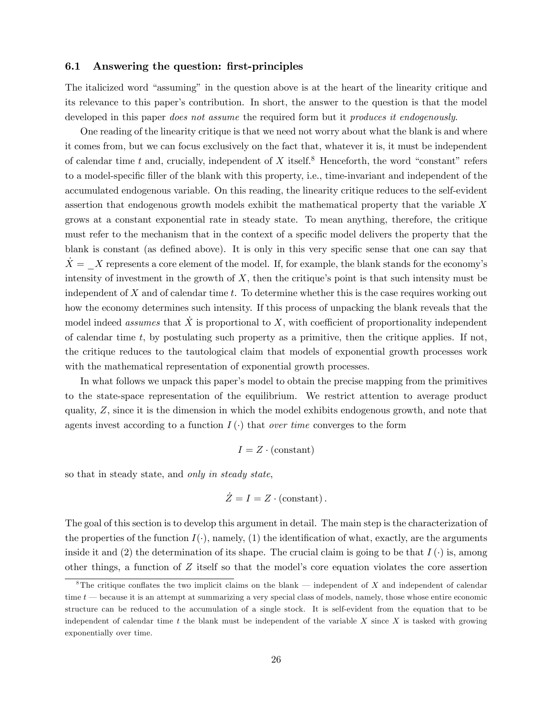#### 6.1 Answering the question: first-principles

The italicized word "assuming" in the question above is at the heart of the linearity critique and its relevance to this paper's contribution. In short, the answer to the question is that the model developed in this paper *does not assume* the required form but it *produces it endogenously*.

One reading of the linearity critique is that we need not worry about what the blank is and where it comes from, but we can focus exclusively on the fact that, whatever it is, it must be independent of calendar time  $t$  and, crucially, independent of  $X$  itself.<sup>8</sup> Henceforth, the word "constant" refers to a model-specific filler of the blank with this property, i.e., time-invariant and independent of the accumulated endogenous variable. On this reading, the linearity critique reduces to the self-evident assertion that endogenous growth models exhibit the mathematical property that the variable *X* grows at a constant exponential rate in steady state. To mean anything, therefore, the critique must refer to the mechanism that in the context of a specific model delivers the property that the blank is constant (as defined above). It is only in this very specific sense that one can say that  $X = X$  represents a core element of the model. If, for example, the blank stands for the economy's intensity of investment in the growth of *X*, then the critique's point is that such intensity must be independent of *X* and of calendar time *t*. To determine whether this is the case requires working out how the economy determines such intensity. If this process of unpacking the blank reveals that the model indeed *assumes* that  $\hat{X}$  is proportional to  $X$ , with coefficient of proportionality independent of calendar time *t*, by postulating such property as a primitive, then the critique applies. If not, the critique reduces to the tautological claim that models of exponential growth processes work with the mathematical representation of exponential growth processes.

In what follows we unpack this paper's model to obtain the precise mapping from the primitives to the state-space representation of the equilibrium. We restrict attention to average product quality, *Z*, since it is the dimension in which the model exhibits endogenous growth, and note that agents invest according to a function  $I(\cdot)$  that *over time* converges to the form

$$
I = Z \cdot \text{(constant)}
$$

so that in steady state, and *only in steady state*,

$$
\dot{Z} = I = Z \cdot \text{(constant)}.
$$

The goal of this section is to develop this argument in detail. The main step is the characterization of the properties of the function  $I(\cdot)$ , namely, (1) the identification of what, exactly, are the arguments inside it and (2) the determination of its shape. The crucial claim is going to be that  $I(\cdot)$  is, among other things, a function of *Z* itself so that the model's core equation violates the core assertion

<sup>&</sup>lt;sup>8</sup>The critique conflates the two implicit claims on the blank – independent of *X* and independent of calendar time *t* – because it is an attempt at summarizing a very special class of models, namely, those whose entire economic structure can be reduced to the accumulation of a single stock. It is self-evident from the equation that to be independent of calendar time *t* the blank must be independent of the variable *X* since *X* is tasked with growing exponentially over time.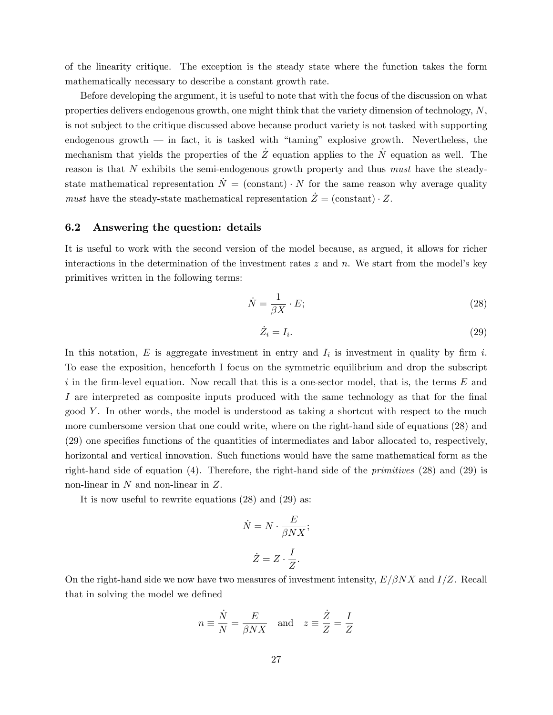of the linearity critique. The exception is the steady state where the function takes the form mathematically necessary to describe a constant growth rate.

Before developing the argument, it is useful to note that with the focus of the discussion on what properties delivers endogenous growth, one might think that the variety dimension of technology, *N*, is not subject to the critique discussed above because product variety is not tasked with supporting endogenous growth  $-$  in fact, it is tasked with "taming" explosive growth. Nevertheless, the mechanism that yields the properties of the  $Z$  equation applies to the  $N$  equation as well. The reason is that *N* exhibits the semi-endogenous growth property and thus *must* have the steadystate mathematical representation  $\dot{N} = (\text{constant}) \cdot N$  for the same reason why average quality *must* have the steady-state mathematical representation  $\dot{Z} = (\text{constant}) \cdot Z$ .

### 6.2 Answering the question: details

It is useful to work with the second version of the model because, as argued, it allows for richer interactions in the determination of the investment rates *z* and *n*. We start from the model's key primitives written in the following terms:

$$
\dot{N} = \frac{1}{\beta X} \cdot E; \tag{28}
$$

$$
\dot{Z}_i = I_i. \tag{29}
$$

In this notation,  $E$  is aggregate investment in entry and  $I_i$  is investment in quality by firm  $i$ . To ease the exposition, henceforth I focus on the symmetric equilibrium and drop the subscript *i* in the firm-level equation. Now recall that this is a one-sector model, that is, the terms *E* and *I* are interpreted as composite inputs produced with the same technology as that for the final good *Y* . In other words, the model is understood as taking a shortcut with respect to the much more cumbersome version that one could write, where on the right-hand side of equations (28) and (29) one specifies functions of the quantities of intermediates and labor allocated to, respectively, horizontal and vertical innovation. Such functions would have the same mathematical form as the right-hand side of equation (4). Therefore, the right-hand side of the *primitives* (28) and (29) is non-linear in *N* and non-linear in *Z*.

It is now useful to rewrite equations (28) and (29) as:

$$
\dot{N} = N \cdot \frac{E}{\beta N X};
$$
  

$$
\dot{Z} = Z \cdot \frac{I}{Z}.
$$

On the right-hand side we now have two measures of investment intensity, *E/*β*NX* and *I/Z*. Recall that in solving the model we defined

$$
n \equiv \frac{\dot{N}}{N} = \frac{E}{\beta N X}
$$
 and  $z \equiv \frac{\dot{Z}}{Z} = \frac{I}{Z}$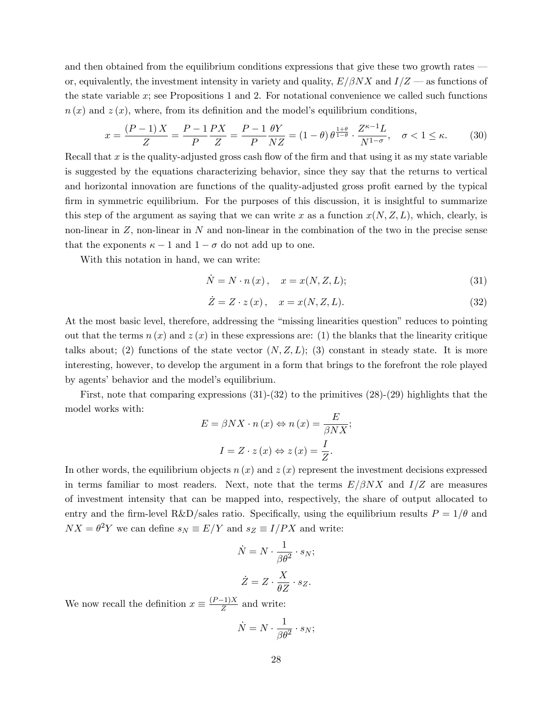and then obtained from the equilibrium conditions expressions that give these two growth rates – or, equivalently, the investment intensity in variety and quality,  $E/\beta N X$  and  $I/Z$  – as functions of the state variable *x*; see Propositions 1 and 2. For notational convenience we called such functions  $n(x)$  and  $z(x)$ , where, from its definition and the model's equilibrium conditions,

$$
x = \frac{(P-1)X}{Z} = \frac{P-1}{P}\frac{PX}{Z} = \frac{P-1}{P}\frac{\theta Y}{NZ} = (1-\theta)\theta^{\frac{1+\theta}{1-\theta}} \cdot \frac{Z^{\kappa-1}L}{N^{1-\sigma}}, \quad \sigma < 1 \le \kappa. \tag{30}
$$

Recall that *x* is the quality-adjusted gross cash flow of the firm and that using it as my state variable is suggested by the equations characterizing behavior, since they say that the returns to vertical and horizontal innovation are functions of the quality-adjusted gross profit earned by the typical firm in symmetric equilibrium. For the purposes of this discussion, it is insightful to summarize this step of the argument as saying that we can write x as a function  $x(N, Z, L)$ , which, clearly, is non-linear in *Z*, non-linear in *N* and non-linear in the combination of the two in the precise sense that the exponents  $\kappa - 1$  and  $1 - \sigma$  do not add up to one.

With this notation in hand, we can write:

$$
\dot{N} = N \cdot n(x), \quad x = x(N, Z, L); \tag{31}
$$

$$
\dot{Z} = Z \cdot z(x), \quad x = x(N, Z, L). \tag{32}
$$

At the most basic level, therefore, addressing the "missing linearities question" reduces to pointing out that the terms  $n(x)$  and  $z(x)$  in these expressions are: (1) the blanks that the linearity critique talks about; (2) functions of the state vector  $(N, Z, L)$ ; (3) constant in steady state. It is more interesting, however, to develop the argument in a form that brings to the forefront the role played by agents' behavior and the model's equilibrium.

First, note that comparing expressions (31)-(32) to the primitives (28)-(29) highlights that the model works with:

$$
E = \beta N X \cdot n(x) \Leftrightarrow n(x) = \frac{E}{\beta N X};
$$

$$
I = Z \cdot z(x) \Leftrightarrow z(x) = \frac{I}{Z}.
$$

In other words, the equilibrium objects  $n(x)$  and  $z(x)$  represent the investment decisions expressed in terms familiar to most readers. Next, note that the terms  $E/\beta N X$  and  $I/Z$  are measures of investment intensity that can be mapped into, respectively, the share of output allocated to entry and the firm-level R&D/sales ratio. Specifically, using the equilibrium results  $P = 1/\theta$  and  $NX = \theta^2 Y$  we can define  $s_N \equiv E/Y$  and  $s_Z \equiv I/PX$  and write:

$$
\dot{N} = N \cdot \frac{1}{\beta \theta^2} \cdot s_N;
$$
  

$$
\dot{Z} = Z \cdot \frac{X}{\theta Z} \cdot s_Z.
$$

We now recall the definition  $x \equiv \frac{(P-1)X}{Z}$  and write:

$$
\dot{N} = N \cdot \frac{1}{\beta \theta^2} \cdot s_N;
$$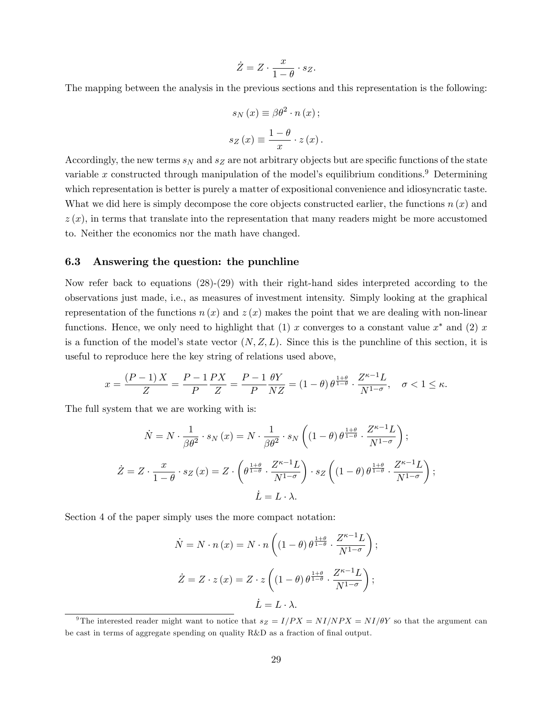$$
\dot{Z} = Z \cdot \frac{x}{1 - \theta} \cdot s_Z.
$$

The mapping between the analysis in the previous sections and this representation is the following:

$$
s_N(x) \equiv \beta \theta^2 \cdot n(x);
$$
  

$$
s_Z(x) \equiv \frac{1-\theta}{x} \cdot z(x).
$$

Accordingly, the new terms *s<sup>N</sup>* and *s<sup>Z</sup>* are not arbitrary objects but are specific functions of the state variable  $x$  constructed through manipulation of the model's equilibrium conditions.<sup>9</sup> Determining which representation is better is purely a matter of expositional convenience and idiosyncratic taste. What we did here is simply decompose the core objects constructed earlier, the functions *n* (*x*) and  $z(x)$ , in terms that translate into the representation that many readers might be more accustomed to. Neither the economics nor the math have changed.

### 6.3 Answering the question: the punchline

Now refer back to equations (28)-(29) with their right-hand sides interpreted according to the observations just made, i.e., as measures of investment intensity. Simply looking at the graphical representation of the functions  $n(x)$  and  $z(x)$  makes the point that we are dealing with non-linear functions. Hence, we only need to highlight that  $(1)$  *x* converges to a constant value  $x^*$  and  $(2)$  *x* is a function of the model's state vector  $(N, Z, L)$ . Since this is the punchline of this section, it is useful to reproduce here the key string of relations used above,

$$
x = \frac{(P-1)X}{Z} = \frac{P-1}{P}\frac{PX}{Z} = \frac{P-1}{P}\frac{\theta Y}{NZ} = (1-\theta)\theta^{\frac{1+\theta}{1-\theta}} \cdot \frac{Z^{\kappa-1}L}{N^{1-\sigma}}, \quad \sigma < 1 \le \kappa.
$$

The full system that we are working with is:

$$
\dot{N} = N \cdot \frac{1}{\beta \theta^2} \cdot s_N(x) = N \cdot \frac{1}{\beta \theta^2} \cdot s_N \left( (1 - \theta) \theta^{\frac{1 + \theta}{1 - \theta}} \cdot \frac{Z^{\kappa - 1} L}{N^{1 - \sigma}} \right);
$$
\n
$$
\dot{Z} = Z \cdot \frac{x}{1 - \theta} \cdot s_Z(x) = Z \cdot \left( \theta^{\frac{1 + \theta}{1 - \theta}} \cdot \frac{Z^{\kappa - 1} L}{N^{1 - \sigma}} \right) \cdot s_Z \left( (1 - \theta) \theta^{\frac{1 + \theta}{1 - \theta}} \cdot \frac{Z^{\kappa - 1} L}{N^{1 - \sigma}} \right);
$$
\n
$$
\dot{L} = L \cdot \lambda.
$$

Section 4 of the paper simply uses the more compact notation:

$$
\dot{N} = N \cdot n(x) = N \cdot n \left( (1 - \theta) \theta^{\frac{1 + \theta}{1 - \theta}} \cdot \frac{Z^{\kappa - 1} L}{N^{1 - \sigma}} \right);
$$
  

$$
\dot{Z} = Z \cdot z(x) = Z \cdot z \left( (1 - \theta) \theta^{\frac{1 + \theta}{1 - \theta}} \cdot \frac{Z^{\kappa - 1} L}{N^{1 - \sigma}} \right);
$$
  

$$
\dot{L} = L \cdot \lambda.
$$

<sup>&</sup>lt;sup>9</sup>The interested reader might want to notice that  $s_Z = I/PX = NI/NPX = NI/\theta Y$  so that the argument can be cast in terms of aggregate spending on quality R&D as a fraction of final output.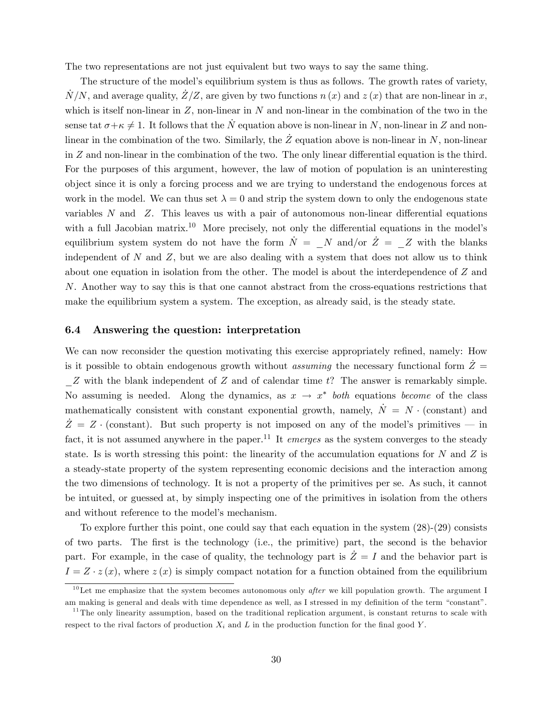The two representations are not just equivalent but two ways to say the same thing.

The structure of the model's equilibrium system is thus as follows. The growth rates of variety,  $N/N$ , and average quality,  $Z/Z$ , are given by two functions  $n(x)$  and  $z(x)$  that are non-linear in *x*, which is itself non-linear in *Z*, non-linear in *N* and non-linear in the combination of the two in the sense tat  $\sigma + \kappa \neq 1$ . It follows that the  $N$  equation above is non-linear in *N*, non-linear in *Z* and nonlinear in the combination of the two. Similarly, the  $\tilde{Z}$  equation above is non-linear in  $N$ , non-linear in  $Z$  and non-linear in the combination of the two. The only linear differential equation is the third. For the purposes of this argument, however, the law of motion of population is an uninteresting object since it is only a forcing process and we are trying to understand the endogenous forces at work in the model. We can thus set  $\lambda = 0$  and strip the system down to only the endogenous state variables  $N$  and  $Z$ . This leaves us with a pair of autonomous non-linear differential equations with a full Jacobian matrix.<sup>10</sup> More precisely, not only the differential equations in the model's equilibrium system system do not have the form  $\dot{N} = N$  and/or  $\dot{Z} = Z$  with the blanks independent of *N* and *Z*, but we are also dealing with a system that does not allow us to think about one equation in isolation from the other. The model is about the interdependence of *Z* and *N*. Another way to say this is that one cannot abstract from the cross-equations restrictions that make the equilibrium system a system. The exception, as already said, is the steady state.

#### 6.4 Answering the question: interpretation

We can now reconsider the question motivating this exercise appropriately refined, namely: How is it possible to obtain endogenous growth without *assuming* the necessary functional form  $\ddot{Z}$  = \_*Z* with the blank independent of *Z* and of calendar time *t*? The answer is remarkably simple. No assuming is needed. Along the dynamics, as  $x \to x^*$  *both* equations *become* of the class mathematically consistent with constant exponential growth, namely,  $N = N \cdot$  (constant) and  $Z = Z \cdot$  (constant). But such property is not imposed on any of the model's primitives – in fact, it is not assumed anywhere in the paper.<sup>11</sup> It *emerges* as the system converges to the steady state. Is is worth stressing this point: the linearity of the accumulation equations for *N* and *Z* is a steady-state property of the system representing economic decisions and the interaction among the two dimensions of technology. It is not a property of the primitives per se. As such, it cannot be intuited, or guessed at, by simply inspecting one of the primitives in isolation from the others and without reference to the model's mechanism.

To explore further this point, one could say that each equation in the system (28)-(29) consists of two parts. The first is the technology (i.e., the primitive) part, the second is the behavior part. For example, in the case of quality, the technology part is  $\dot{Z}=I$  and the behavior part is  $I = Z \cdot z(x)$ , where  $z(x)$  is simply compact notation for a function obtained from the equilibrium

<sup>&</sup>lt;sup>10</sup>Let me emphasize that the system becomes autonomous only *after* we kill population growth. The argument I am making is general and deals with time dependence as well, as I stressed in my definition of the term "constant".

 $11$ The only linearity assumption, based on the traditional replication argument, is constant returns to scale with respect to the rival factors of production  $X_i$  and  $L$  in the production function for the final good  $Y$ .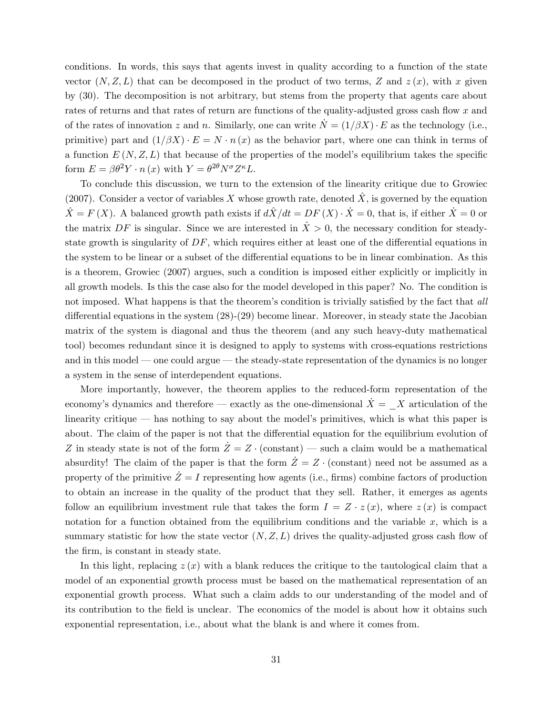conditions. In words, this says that agents invest in quality according to a function of the state vector  $(N, Z, L)$  that can be decomposed in the product of two terms, Z and  $z(x)$ , with x given by (30). The decomposition is not arbitrary, but stems from the property that agents care about rates of returns and that rates of return are functions of the quality-adjusted gross cash flow *x* and of the rates of innovation *z* and *n*. Similarly, one can write  $\dot{N} = (1/\beta X) \cdot E$  as the technology (i.e., primitive) part and  $(1/\beta X) \cdot E = N \cdot n(x)$  as the behavior part, where one can think in terms of a function  $E(N, Z, L)$  that because of the properties of the model's equilibrium takes the specific form  $E = \beta \theta^2 Y \cdot n(x)$  with  $Y = \theta^{2\theta} N^{\sigma} Z^{\kappa} L$ .

To conclude this discussion, we turn to the extension of the linearity critique due to Growiec (2007). Consider a vector of variables X whose growth rate, denoted  $\hat{X}$ , is governed by the equation  $\hat{X} = F(X)$ . A balanced growth path exists if  $d\hat{X}/dt = DF(X) \cdot \hat{X} = 0$ , that is, if either  $\hat{X} = 0$  or the matrix  $DF$  is singular. Since we are interested in  $\hat{X} > 0$ , the necessary condition for steadystate growth is singularity of  $DF$ , which requires either at least one of the differential equations in the system to be linear or a subset of the differential equations to be in linear combination. As this is a theorem, Growiec (2007) argues, such a condition is imposed either explicitly or implicitly in all growth models. Is this the case also for the model developed in this paper? No. The condition is not imposed. What happens is that the theorem's condition is trivially satisfied by the fact that *all* differential equations in the system  $(28)-(29)$  become linear. Moreover, in steady state the Jacobian matrix of the system is diagonal and thus the theorem (and any such heavy-duty mathematical tool) becomes redundant since it is designed to apply to systems with cross-equations restrictions and in this model – one could argue – the steady-state representation of the dynamics is no longer a system in the sense of interdependent equations.

More importantly, however, the theorem applies to the reduced-form representation of the economy's dynamics and therefore – exactly as the one-dimensional  $\dot{X} = X$  articulation of the linearity critique – has nothing to say about the model's primitives, which is what this paper is about. The claim of the paper is not that the differential equation for the equilibrium evolution of *Z* in steady state is not of the form  $\dot{Z} = Z \cdot (constant)$  – such a claim would be a mathematical absurdity! The claim of the paper is that the form  $Z = Z \cdot$  (constant) need not be assumed as a property of the primitive  $\dot{Z} = I$  representing how agents (i.e., firms) combine factors of production to obtain an increase in the quality of the product that they sell. Rather, it emerges as agents follow an equilibrium investment rule that takes the form  $I = Z \cdot z(x)$ , where  $z(x)$  is compact notation for a function obtained from the equilibrium conditions and the variable  $x$ , which is a summary statistic for how the state vector  $(N, Z, L)$  drives the quality-adjusted gross cash flow of the firm, is constant in steady state.

In this light, replacing  $z(x)$  with a blank reduces the critique to the tautological claim that a model of an exponential growth process must be based on the mathematical representation of an exponential growth process. What such a claim adds to our understanding of the model and of its contribution to the field is unclear. The economics of the model is about how it obtains such exponential representation, i.e., about what the blank is and where it comes from.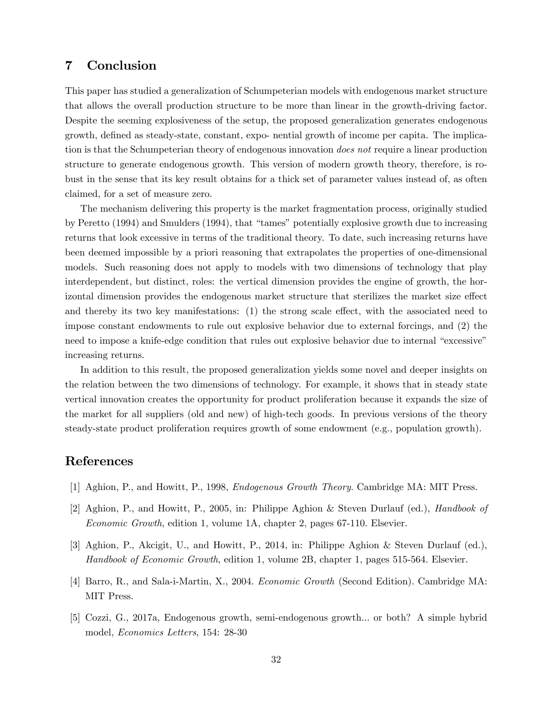## 7 Conclusion

This paper has studied a generalization of Schumpeterian models with endogenous market structure that allows the overall production structure to be more than linear in the growth-driving factor. Despite the seeming explosiveness of the setup, the proposed generalization generates endogenous growth, defined as steady-state, constant, expo- nential growth of income per capita. The implication is that the Schumpeterian theory of endogenous innovation *does not* require a linear production structure to generate endogenous growth. This version of modern growth theory, therefore, is robust in the sense that its key result obtains for a thick set of parameter values instead of, as often claimed, for a set of measure zero.

The mechanism delivering this property is the market fragmentation process, originally studied by Peretto (1994) and Smulders (1994), that "tames" potentially explosive growth due to increasing returns that look excessive in terms of the traditional theory. To date, such increasing returns have been deemed impossible by a priori reasoning that extrapolates the properties of one-dimensional models. Such reasoning does not apply to models with two dimensions of technology that play interdependent, but distinct, roles: the vertical dimension provides the engine of growth, the horizontal dimension provides the endogenous market structure that sterilizes the market size effect and thereby its two key manifestations:  $(1)$  the strong scale effect, with the associated need to impose constant endowments to rule out explosive behavior due to external forcings, and (2) the need to impose a knife-edge condition that rules out explosive behavior due to internal "excessive" increasing returns.

In addition to this result, the proposed generalization yields some novel and deeper insights on the relation between the two dimensions of technology. For example, it shows that in steady state vertical innovation creates the opportunity for product proliferation because it expands the size of the market for all suppliers (old and new) of high-tech goods. In previous versions of the theory steady-state product proliferation requires growth of some endowment (e.g., population growth).

## References

- [1] Aghion, P., and Howitt, P., 1998, *Endogenous Growth Theory*. Cambridge MA: MIT Press.
- [2] Aghion, P., and Howitt, P., 2005, in: Philippe Aghion & Steven Durlauf (ed.), *Handbook of Economic Growth*, edition 1, volume 1A, chapter 2, pages 67-110. Elsevier.
- [3] Aghion, P., Akcigit, U., and Howitt, P., 2014, in: Philippe Aghion & Steven Durlauf (ed.), *Handbook of Economic Growth*, edition 1, volume 2B, chapter 1, pages 515-564. Elsevier.
- [4] Barro, R., and Sala-i-Martin, X., 2004. *Economic Growth* (Second Edition). Cambridge MA: MIT Press.
- [5] Cozzi, G., 2017a, Endogenous growth, semi-endogenous growth... or both? A simple hybrid model, *Economics Letters*, 154: 28-30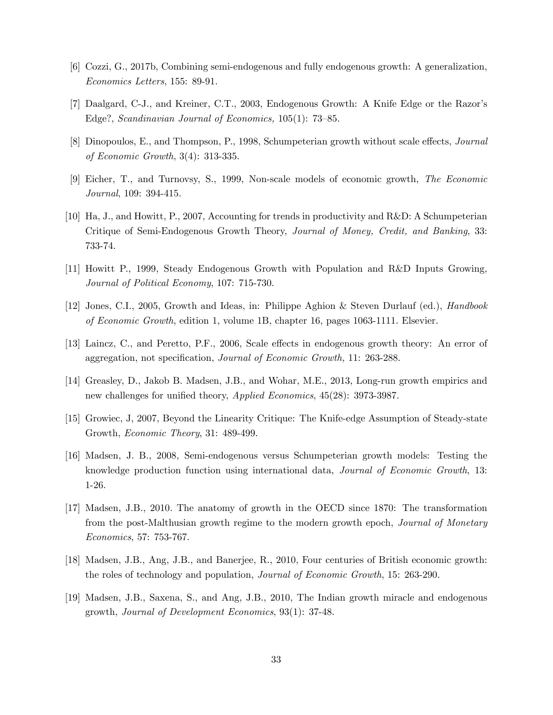- [6] Cozzi, G., 2017b, Combining semi-endogenous and fully endogenous growth: A generalization, *Economics Letters*, 155: 89-91.
- [7] Daalgard, C-J., and Kreiner, C.T., 2003, Endogenous Growth: A Knife Edge or the Razor's Edge?, *Scandinavian Journal of Economics,* 105(1): 73—85.
- [8] Dinopoulos, E., and Thompson, P., 1998, Schumpeterian growth without scale effects, *Journal of Economic Growth*, 3(4): 313-335.
- [9] Eicher, T., and Turnovsy, S., 1999, Non-scale models of economic growth, *The Economic Journal*, 109: 394-415.
- [10] Ha, J., and Howitt, P., 2007, Accounting for trends in productivity and R&D: A Schumpeterian Critique of Semi-Endogenous Growth Theory, *Journal of Money, Credit, and Banking*, 33: 733-74.
- [11] Howitt P., 1999, Steady Endogenous Growth with Population and R&D Inputs Growing, *Journal of Political Economy*, 107: 715-730.
- [12] Jones, C.I., 2005, Growth and Ideas, in: Philippe Aghion & Steven Durlauf (ed.), *Handbook of Economic Growth*, edition 1, volume 1B, chapter 16, pages 1063-1111. Elsevier.
- [13] Laincz, C., and Peretto, P.F., 2006, Scale effects in endogenous growth theory: An error of aggregation, not specification, *Journal of Economic Growth,* 11: 263-288.
- [14] Greasley, D., Jakob B. Madsen, J.B., and Wohar, M.E., 2013, Long-run growth empirics and new challenges for unified theory, *Applied Economics*, 45(28): 3973-3987.
- [15] Growiec, J, 2007, Beyond the Linearity Critique: The Knife-edge Assumption of Steady-state Growth, *Economic Theory*, 31: 489-499.
- [16] Madsen, J. B., 2008, Semi-endogenous versus Schumpeterian growth models: Testing the knowledge production function using international data, *Journal of Economic Growth*, 13: 1-26.
- [17] Madsen, J.B., 2010. The anatomy of growth in the OECD since 1870: The transformation from the post-Malthusian growth regime to the modern growth epoch, *Journal of Monetary Economics*, 57: 753-767.
- [18] Madsen, J.B., Ang, J.B., and Banerjee, R., 2010, Four centuries of British economic growth: the roles of technology and population, *Journal of Economic Growth*, 15: 263-290.
- [19] Madsen, J.B., Saxena, S., and Ang, J.B., 2010, The Indian growth miracle and endogenous growth, *Journal of Development Economics*, 93(1): 37-48.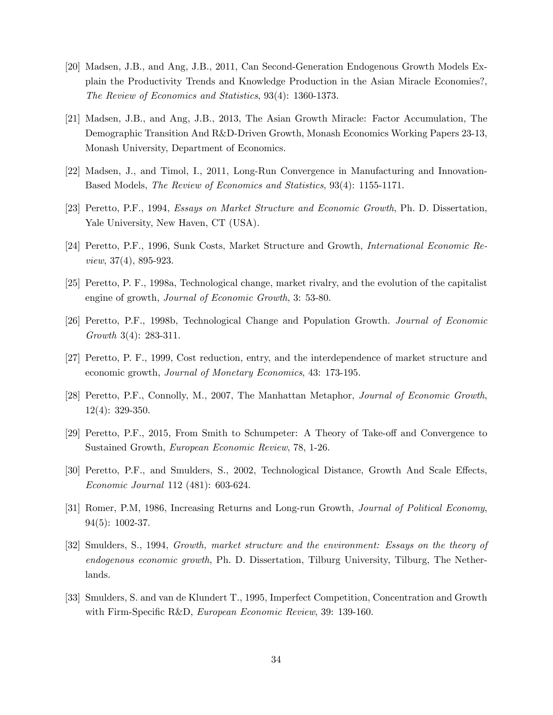- [20] Madsen, J.B., and Ang, J.B., 2011, Can Second-Generation Endogenous Growth Models Explain the Productivity Trends and Knowledge Production in the Asian Miracle Economies?, *The Review of Economics and Statistics*, 93(4): 1360-1373.
- [21] Madsen, J.B., and Ang, J.B., 2013, The Asian Growth Miracle: Factor Accumulation, The Demographic Transition And R&D-Driven Growth, Monash Economics Working Papers 23-13, Monash University, Department of Economics.
- [22] Madsen, J., and Timol, I., 2011, Long-Run Convergence in Manufacturing and Innovation-Based Models, *The Review of Economics and Statistics*, 93(4): 1155-1171.
- [23] Peretto, P.F., 1994, *Essays on Market Structure and Economic Growth*, Ph. D. Dissertation, Yale University, New Haven, CT (USA).
- [24] Peretto, P.F., 1996, Sunk Costs, Market Structure and Growth, *International Economic Review*, 37(4), 895-923.
- [25] Peretto, P. F., 1998a, Technological change, market rivalry, and the evolution of the capitalist engine of growth, *Journal of Economic Growth*, 3: 53-80.
- [26] Peretto, P.F., 1998b, Technological Change and Population Growth. *Journal of Economic Growth* 3(4): 283-311.
- [27] Peretto, P. F., 1999, Cost reduction, entry, and the interdependence of market structure and economic growth, *Journal of Monetary Economics*, 43: 173-195.
- [28] Peretto, P.F., Connolly, M., 2007, The Manhattan Metaphor, *Journal of Economic Growth*, 12(4): 329-350.
- [29] Peretto, P.F., 2015, From Smith to Schumpeter: A Theory of Take-off and Convergence to Sustained Growth, *European Economic Review*, 78, 1-26.
- [30] Peretto, P.F., and Smulders, S., 2002, Technological Distance, Growth And Scale Effects, *Economic Journal* 112 (481): 603-624.
- [31] Romer, P.M, 1986, Increasing Returns and Long-run Growth, *Journal of Political Economy*, 94(5): 1002-37.
- [32] Smulders, S., 1994, *Growth, market structure and the environment: Essays on the theory of endogenous economic growth*, Ph. D. Dissertation, Tilburg University, Tilburg, The Netherlands.
- [33] Smulders, S. and van de Klundert T., 1995, Imperfect Competition, Concentration and Growth with Firm-Specific R&D, *European Economic Review*, 39: 139-160.